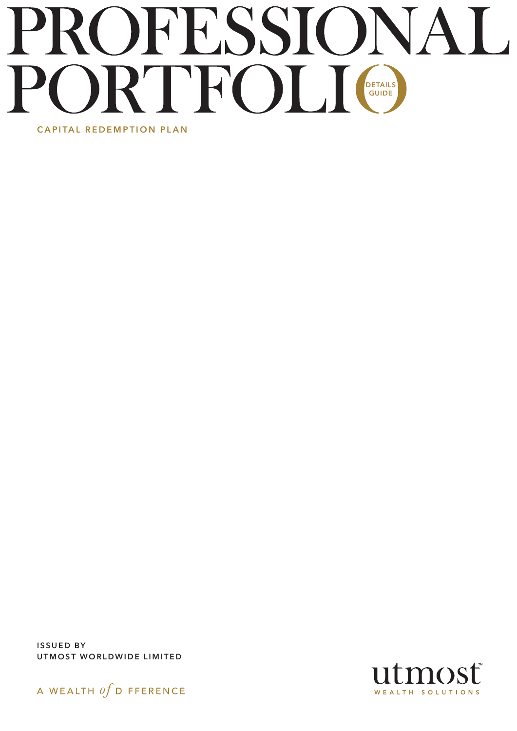# PROFESSIONAL **RTFOL** DETAILS GUIDE

CAPITAL REDEMPTION PLAN

ISSUED BY UTMOST WORLDWIDE LIMITED



nosť WEALTH SOLUTIONS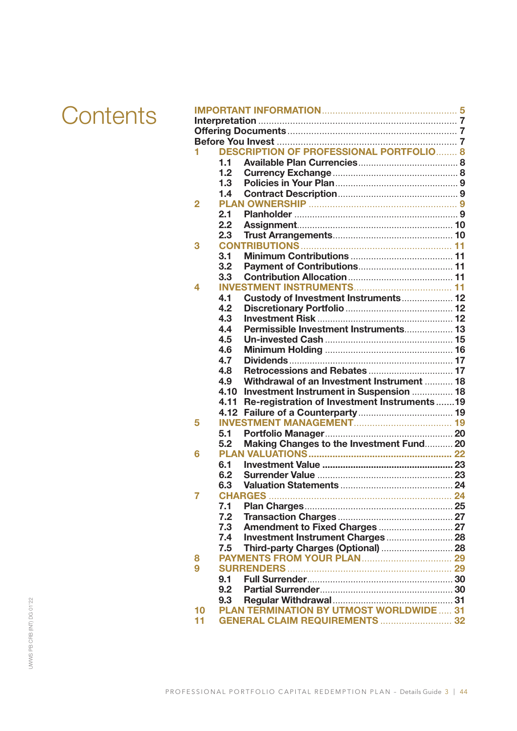## **Contents**

|    |      | <b>DESCRIPTION OF PROFESSIONAL PORTFOLIO 8</b>  |  |  |
|----|------|-------------------------------------------------|--|--|
|    | 1.1  |                                                 |  |  |
|    | 1.2  |                                                 |  |  |
|    | 1.3  |                                                 |  |  |
|    | 1.4  |                                                 |  |  |
| 2  |      |                                                 |  |  |
|    | 2.1  |                                                 |  |  |
|    | 2.2  |                                                 |  |  |
|    | 2.3  |                                                 |  |  |
| 3  |      |                                                 |  |  |
|    | 3.1  |                                                 |  |  |
|    | 3.2  |                                                 |  |  |
|    | 3.3  |                                                 |  |  |
| Δ. |      |                                                 |  |  |
|    | 4.1  | Custody of Investment Instruments 12            |  |  |
|    | 4.2  |                                                 |  |  |
|    | 4.3  |                                                 |  |  |
|    | 4.4  | Permissible Investment Instruments 13           |  |  |
|    | 4.5  |                                                 |  |  |
|    | 4.6  |                                                 |  |  |
|    | 4.7  |                                                 |  |  |
|    | 4.8  | Retrocessions and Rebates  17                   |  |  |
|    | 4.9  | Withdrawal of an Investment Instrument  18      |  |  |
|    | 4.10 | Investment Instrument in Suspension  18         |  |  |
|    | 4.11 | Re-registration of Investment Instruments19     |  |  |
|    | 4.12 |                                                 |  |  |
| 5  |      |                                                 |  |  |
|    | 5.1  |                                                 |  |  |
|    | 5.2  | Making Changes to the Investment Fund 20        |  |  |
| 6  |      |                                                 |  |  |
|    | 6.1  |                                                 |  |  |
|    | 6.2  |                                                 |  |  |
|    | 6.3  |                                                 |  |  |
| 7  |      |                                                 |  |  |
|    | 7.1  |                                                 |  |  |
|    | 7.2  |                                                 |  |  |
|    | 7.3  |                                                 |  |  |
|    | 7.4  | Investment Instrument Charges 28                |  |  |
|    | 7.5  | Third-party Charges (Optional)  28              |  |  |
| 8  |      |                                                 |  |  |
| 9  |      |                                                 |  |  |
|    | 9.1  |                                                 |  |  |
|    | 9.2  |                                                 |  |  |
|    | 9.3  |                                                 |  |  |
| 10 |      | <b>PLAN TERMINATION BY UTMOST WORLDWIDE  31</b> |  |  |
| 11 |      | GENERAL CLAIM REQUIREMENTS  32                  |  |  |
|    |      |                                                 |  |  |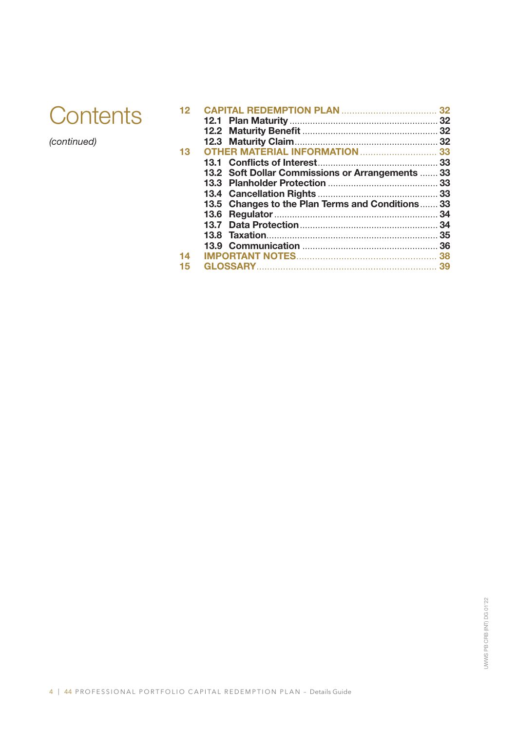

*(continued)*

|    |                                                  | 32 |
|----|--------------------------------------------------|----|
|    |                                                  |    |
|    |                                                  |    |
|    |                                                  |    |
| 13 |                                                  |    |
|    |                                                  |    |
|    | 13.2 Soft Dollar Commissions or Arrangements  33 |    |
|    |                                                  |    |
|    |                                                  |    |
|    | 13.5 Changes to the Plan Terms and Conditions 33 |    |
|    |                                                  |    |
|    |                                                  |    |
|    |                                                  |    |
|    |                                                  |    |
|    |                                                  |    |
| 15 |                                                  |    |
|    |                                                  |    |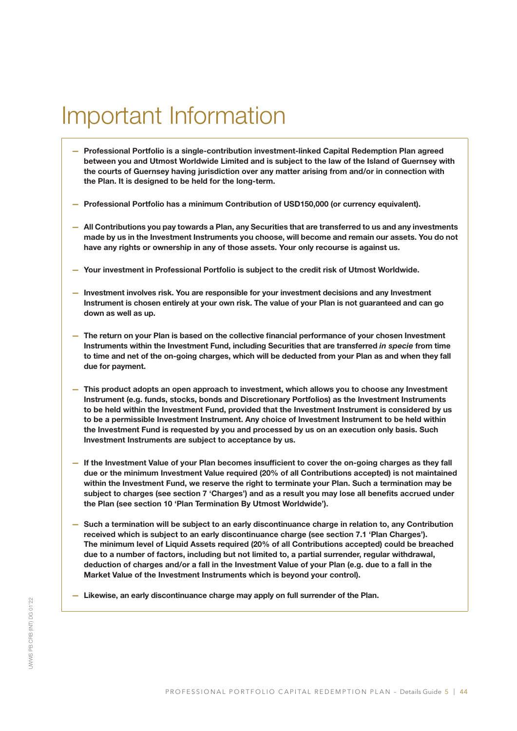## Important Information

- Professional Portfolio is a single-contribution investment-linked Capital Redemption Plan agreed between you and Utmost Worldwide Limited and is subject to the law of the Island of Guernsey with the courts of Guernsey having jurisdiction over any matter arising from and/or in connection with the Plan. It is designed to be held for the long-term.
- Professional Portfolio has a minimum Contribution of USD150,000 (or currency equivalent).
- All Contributions you pay towards a Plan, any Securities that are transferred to us and any investments made by us in the Investment Instruments you choose, will become and remain our assets. You do not have any rights or ownership in any of those assets. Your only recourse is against us.
- Your investment in Professional Portfolio is subject to the credit risk of Utmost Worldwide.
- Investment involves risk. You are responsible for your investment decisions and any Investment Instrument is chosen entirely at your own risk. The value of your Plan is not guaranteed and can go down as well as up.
- The return on your Plan is based on the collective financial performance of your chosen Investment Instruments within the Investment Fund, including Securities that are transferred *in specie* from time to time and net of the on-going charges, which will be deducted from your Plan as and when they fall due for payment.
- This product adopts an open approach to investment, which allows you to choose any Investment Instrument (e.g. funds, stocks, bonds and Discretionary Portfolios) as the Investment Instruments to be held within the Investment Fund, provided that the Investment Instrument is considered by us to be a permissible Investment Instrument. Any choice of Investment Instrument to be held within the Investment Fund is requested by you and processed by us on an execution only basis. Such Investment Instruments are subject to acceptance by us.
- If the Investment Value of your Plan becomes insufficient to cover the on-going charges as they fall due or the minimum Investment Value required (20% of all Contributions accepted) is not maintained within the Investment Fund, we reserve the right to terminate your Plan. Such a termination may be subject to charges (see section 7 'Charges') and as a result you may lose all benefits accrued under the Plan (see section 10 'Plan Termination By Utmost Worldwide').
- Such a termination will be subject to an early discontinuance charge in relation to, any Contribution received which is subject to an early discontinuance charge (see section 7.1 'Plan Charges'). The minimum level of Liquid Assets required (20% of all Contributions accepted) could be breached due to a number of factors, including but not limited to, a partial surrender, regular withdrawal, deduction of charges and/or a fall in the Investment Value of your Plan (e.g. due to a fall in the Market Value of the Investment Instruments which is beyond your control).
- Likewise, an early discontinuance charge may apply on full surrender of the Plan.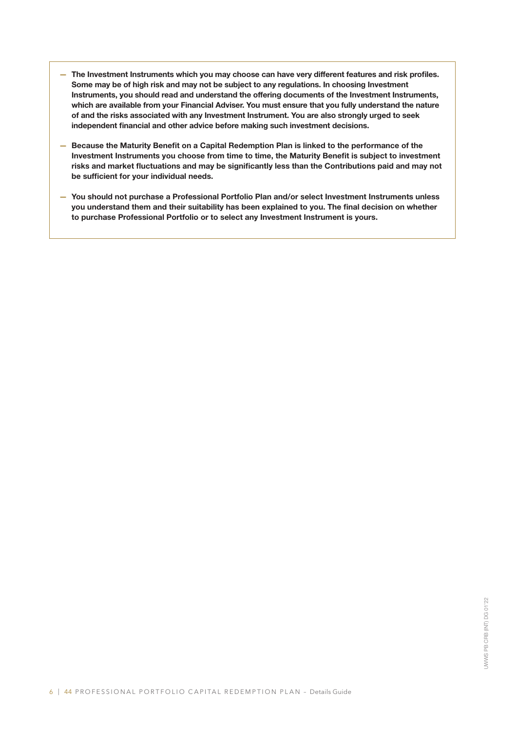- The Investment Instruments which you may choose can have very different features and risk profiles. Some may be of high risk and may not be subject to any regulations. In choosing Investment Instruments, you should read and understand the offering documents of the Investment Instruments, which are available from your Financial Adviser. You must ensure that you fully understand the nature of and the risks associated with any Investment Instrument. You are also strongly urged to seek independent financial and other advice before making such investment decisions.
- Because the Maturity Benefit on a Capital Redemption Plan is linked to the performance of the Investment Instruments you choose from time to time, the Maturity Benefit is subject to investment risks and market fluctuations and may be significantly less than the Contributions paid and may not be sufficient for your individual needs.
- You should not purchase a Professional Portfolio Plan and/or select Investment Instruments unless you understand them and their suitability has been explained to you. The final decision on whether to purchase Professional Portfolio or to select any Investment Instrument is yours.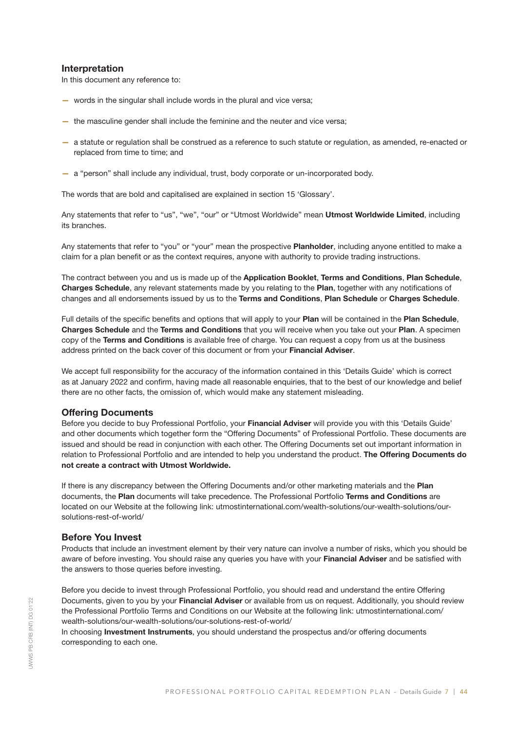## Interpretation

In this document any reference to:

- words in the singular shall include words in the plural and vice versa;
- the masculine gender shall include the feminine and the neuter and vice versa;
- a statute or regulation shall be construed as a reference to such statute or regulation, as amended, re-enacted or replaced from time to time; and
- a "person" shall include any individual, trust, body corporate or un-incorporated body.

The words that are bold and capitalised are explained in section 15 'Glossary'.

Any statements that refer to "us", "we", "our" or "Utmost Worldwide" mean Utmost Worldwide Limited, including its branches.

Any statements that refer to "you" or "your" mean the prospective Planholder, including anyone entitled to make a claim for a plan benefit or as the context requires, anyone with authority to provide trading instructions.

The contract between you and us is made up of the Application Booklet, Terms and Conditions, Plan Schedule, Charges Schedule, any relevant statements made by you relating to the Plan, together with any notifications of changes and all endorsements issued by us to the Terms and Conditions, Plan Schedule or Charges Schedule.

Full details of the specific benefits and options that will apply to your Plan will be contained in the Plan Schedule, Charges Schedule and the Terms and Conditions that you will receive when you take out your Plan. A specimen copy of the Terms and Conditions is available free of charge. You can request a copy from us at the business address printed on the back cover of this document or from your Financial Adviser.

We accept full responsibility for the accuracy of the information contained in this 'Details Guide' which is correct as at January 2022 and confirm, having made all reasonable enquiries, that to the best of our knowledge and belief there are no other facts, the omission of, which would make any statement misleading.

## Offering Documents

Before you decide to buy Professional Portfolio, your Financial Adviser will provide you with this 'Details Guide' and other documents which together form the "Offering Documents" of Professional Portfolio. These documents are issued and should be read in conjunction with each other. The Offering Documents set out important information in relation to Professional Portfolio and are intended to help you understand the product. The Offering Documents do not create a contract with Utmost Worldwide.

If there is any discrepancy between the Offering Documents and/or other marketing materials and the Plan documents, the Plan documents will take precedence. The Professional Portfolio Terms and Conditions are located on our Website at the following link: utmostinternational.com/wealth-solutions/our-wealth-solutions/oursolutions-rest-of-world/

## Before You Invest

Products that include an investment element by their very nature can involve a number of risks, which you should be aware of before investing. You should raise any queries you have with your Financial Adviser and be satisfied with the answers to those queries before investing.

Before you decide to invest through Professional Portfolio, you should read and understand the entire Offering Documents, given to you by your Financial Adviser or available from us on request. Additionally, you should review the Professional Portfolio Terms and Conditions on our Website at the following link: utmostinternational.com/ wealth-solutions/our-wealth-solutions/our-solutions-rest-of-world/

In choosing Investment Instruments, you should understand the prospectus and/or offering documents corresponding to each one.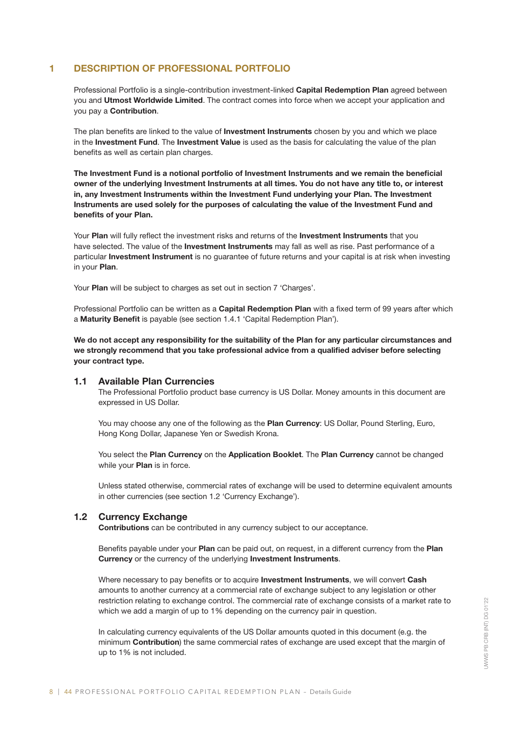## 1 DESCRIPTION OF PROFESSIONAL PORTFOLIO

Professional Portfolio is a single-contribution investment-linked Capital Redemption Plan agreed between you and Utmost Worldwide Limited. The contract comes into force when we accept your application and you pay a Contribution.

The plan benefits are linked to the value of **Investment Instruments** chosen by you and which we place in the Investment Fund. The Investment Value is used as the basis for calculating the value of the plan benefits as well as certain plan charges.

The Investment Fund is a notional portfolio of Investment Instruments and we remain the beneficial owner of the underlying Investment Instruments at all times. You do not have any title to, or interest in, any Investment Instruments within the Investment Fund underlying your Plan. The Investment Instruments are used solely for the purposes of calculating the value of the Investment Fund and benefits of your Plan.

Your Plan will fully reflect the investment risks and returns of the Investment Instruments that you have selected. The value of the Investment Instruments may fall as well as rise. Past performance of a particular Investment Instrument is no guarantee of future returns and your capital is at risk when investing in your Plan.

Your Plan will be subject to charges as set out in section 7 'Charges'.

Professional Portfolio can be written as a Capital Redemption Plan with a fixed term of 99 years after which a Maturity Benefit is payable (see section 1.4.1 'Capital Redemption Plan').

We do not accept any responsibility for the suitability of the Plan for any particular circumstances and we strongly recommend that you take professional advice from a qualified adviser before selecting your contract type.

## 1.1 Available Plan Currencies

The Professional Portfolio product base currency is US Dollar. Money amounts in this document are expressed in US Dollar.

You may choose any one of the following as the Plan Currency: US Dollar, Pound Sterling, Euro, Hong Kong Dollar, Japanese Yen or Swedish Krona.

You select the Plan Currency on the Application Booklet. The Plan Currency cannot be changed while your **Plan** is in force.

Unless stated otherwise, commercial rates of exchange will be used to determine equivalent amounts in other currencies (see section 1.2 'Currency Exchange').

## 1.2 Currency Exchange

Contributions can be contributed in any currency subject to our acceptance.

Benefits payable under your Plan can be paid out, on request, in a different currency from the Plan Currency or the currency of the underlying Investment Instruments.

Where necessary to pay benefits or to acquire **Investment Instruments**, we will convert Cash amounts to another currency at a commercial rate of exchange subject to any legislation or other restriction relating to exchange control. The commercial rate of exchange consists of a market rate to which we add a margin of up to 1% depending on the currency pair in question.

In calculating currency equivalents of the US Dollar amounts quoted in this document (e.g. the minimum Contribution) the same commercial rates of exchange are used except that the margin of up to 1% is not included.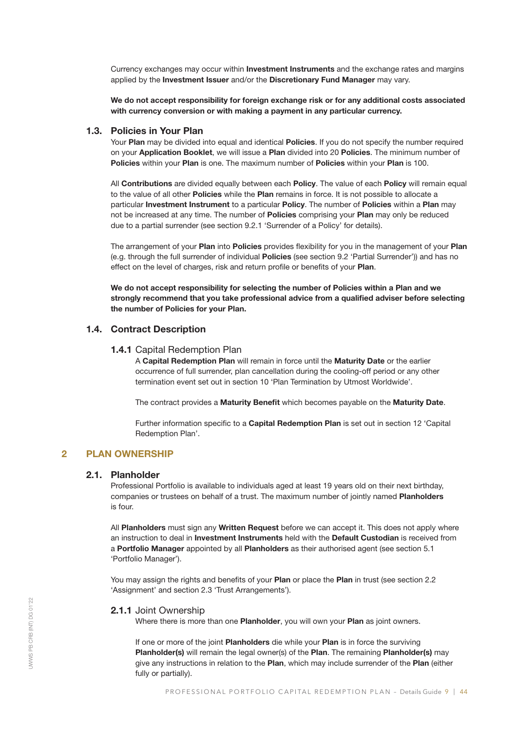Currency exchanges may occur within **Investment Instruments** and the exchange rates and margins applied by the Investment Issuer and/or the Discretionary Fund Manager may vary.

We do not accept responsibility for foreign exchange risk or for any additional costs associated with currency conversion or with making a payment in any particular currency.

#### 1.3. Policies in Your Plan

Your Plan may be divided into equal and identical Policies. If you do not specify the number required on your Application Booklet, we will issue a Plan divided into 20 Policies. The minimum number of Policies within your Plan is one. The maximum number of Policies within your Plan is 100.

All Contributions are divided equally between each Policy. The value of each Policy will remain equal to the value of all other Policies while the Plan remains in force. It is not possible to allocate a particular Investment Instrument to a particular Policy. The number of Policies within a Plan may not be increased at any time. The number of Policies comprising your Plan may only be reduced due to a partial surrender (see section 9.2.1 'Surrender of a Policy' for details).

The arrangement of your Plan into Policies provides flexibility for you in the management of your Plan (e.g. through the full surrender of individual Policies (see section 9.2 'Partial Surrender')) and has no effect on the level of charges, risk and return profile or benefits of your Plan.

We do not accept responsibility for selecting the number of Policies within a Plan and we strongly recommend that you take professional advice from a qualified adviser before selecting the number of Policies for your Plan.

## 1.4. Contract Description

#### 1.4.1 Capital Redemption Plan

A Capital Redemption Plan will remain in force until the Maturity Date or the earlier occurrence of full surrender, plan cancellation during the cooling-off period or any other termination event set out in section 10 'Plan Termination by Utmost Worldwide'.

The contract provides a Maturity Benefit which becomes payable on the Maturity Date.

Further information specific to a Capital Redemption Plan is set out in section 12 'Capital Redemption Plan'.

## 2 PLAN OWNERSHIP

#### 2.1. Planholder

Professional Portfolio is available to individuals aged at least 19 years old on their next birthday, companies or trustees on behalf of a trust. The maximum number of jointly named Planholders is four.

All Planholders must sign any Written Request before we can accept it. This does not apply where an instruction to deal in Investment Instruments held with the Default Custodian is received from a Portfolio Manager appointed by all Planholders as their authorised agent (see section 5.1 'Portfolio Manager').

You may assign the rights and benefits of your Plan or place the Plan in trust (see section 2.2) 'Assignment' and section 2.3 'Trust Arrangements').

#### 2.1.1 Joint Ownership

Where there is more than one Planholder, you will own your Plan as joint owners.

If one or more of the joint **Planholders** die while your **Plan** is in force the surviving Planholder(s) will remain the legal owner(s) of the Plan. The remaining Planholder(s) may give any instructions in relation to the Plan, which may include surrender of the Plan (either fully or partially).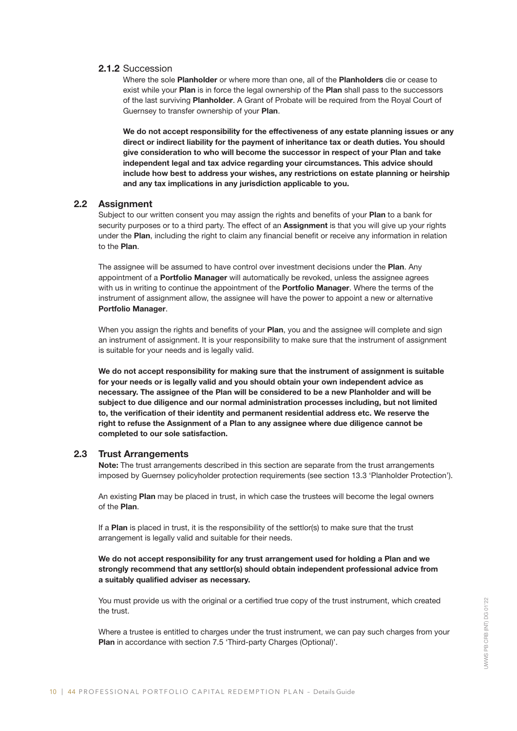## 2.1.2 Succession

Where the sole Planholder or where more than one, all of the Planholders die or cease to exist while your Plan is in force the legal ownership of the Plan shall pass to the successors of the last surviving Planholder. A Grant of Probate will be required from the Royal Court of Guernsey to transfer ownership of your Plan.

We do not accept responsibility for the effectiveness of any estate planning issues or any direct or indirect liability for the payment of inheritance tax or death duties. You should give consideration to who will become the successor in respect of your Plan and take independent legal and tax advice regarding your circumstances. This advice should include how best to address your wishes, any restrictions on estate planning or heirship and any tax implications in any jurisdiction applicable to you.

## 2.2 Assignment

Subject to our written consent you may assign the rights and benefits of your Plan to a bank for security purposes or to a third party. The effect of an **Assignment** is that you will give up your rights under the Plan, including the right to claim any financial benefit or receive any information in relation to the Plan.

The assignee will be assumed to have control over investment decisions under the **Plan**. Any appointment of a **Portfolio Manager** will automatically be revoked, unless the assignee agrees with us in writing to continue the appointment of the **Portfolio Manager**. Where the terms of the instrument of assignment allow, the assignee will have the power to appoint a new or alternative Portfolio Manager.

When you assign the rights and benefits of your Plan, you and the assignee will complete and sign an instrument of assignment. It is your responsibility to make sure that the instrument of assignment is suitable for your needs and is legally valid.

We do not accept responsibility for making sure that the instrument of assignment is suitable for your needs or is legally valid and you should obtain your own independent advice as necessary. The assignee of the Plan will be considered to be a new Planholder and will be subject to due diligence and our normal administration processes including, but not limited to, the verification of their identity and permanent residential address etc. We reserve the right to refuse the Assignment of a Plan to any assignee where due diligence cannot be completed to our sole satisfaction.

## 2.3 Trust Arrangements

Note: The trust arrangements described in this section are separate from the trust arrangements imposed by Guernsey policyholder protection requirements (see section 13.3 'Planholder Protection').

An existing Plan may be placed in trust, in which case the trustees will become the legal owners of the Plan.

If a Plan is placed in trust, it is the responsibility of the settlor(s) to make sure that the trust arrangement is legally valid and suitable for their needs.

We do not accept responsibility for any trust arrangement used for holding a Plan and we strongly recommend that any settlor(s) should obtain independent professional advice from a suitably qualified adviser as necessary.

You must provide us with the original or a certified true copy of the trust instrument, which created the trust.

Where a trustee is entitled to charges under the trust instrument, we can pay such charges from your Plan in accordance with section 7.5 'Third-party Charges (Optional)'.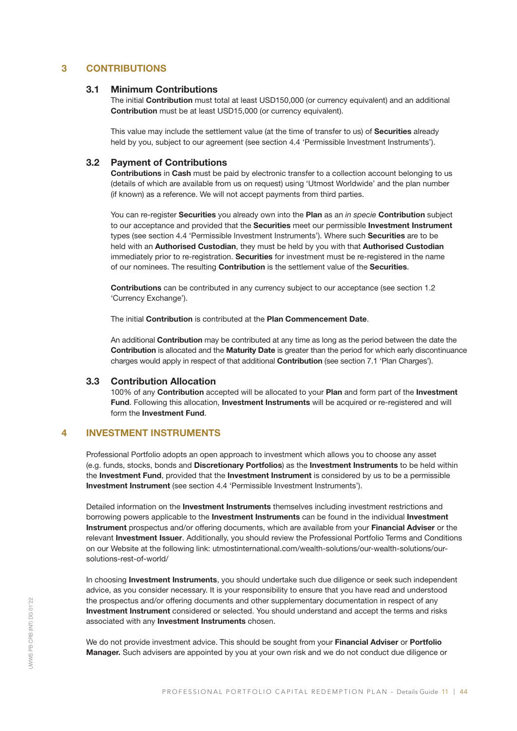## 3 CONTRIBUTIONS

## 3.1 Minimum Contributions

The initial Contribution must total at least USD150,000 (or currency equivalent) and an additional Contribution must be at least USD15,000 (or currency equivalent).

This value may include the settlement value (at the time of transfer to us) of **Securities** already held by you, subject to our agreement (see section 4.4 'Permissible Investment Instruments').

## 3.2 Payment of Contributions

Contributions in Cash must be paid by electronic transfer to a collection account belonging to us (details of which are available from us on request) using 'Utmost Worldwide' and the plan number (if known) as a reference. We will not accept payments from third parties.

You can re-register Securities you already own into the Plan as an *in specie* Contribution subject to our acceptance and provided that the Securities meet our permissible Investment Instrument types (see section 4.4 'Permissible Investment Instruments'). Where such Securities are to be held with an Authorised Custodian, they must be held by you with that Authorised Custodian immediately prior to re-registration. Securities for investment must be re-registered in the name of our nominees. The resulting Contribution is the settlement value of the Securities.

Contributions can be contributed in any currency subject to our acceptance (see section 1.2 'Currency Exchange').

The initial Contribution is contributed at the Plan Commencement Date.

An additional **Contribution** may be contributed at any time as long as the period between the date the Contribution is allocated and the Maturity Date is greater than the period for which early discontinuance charges would apply in respect of that additional Contribution (see section 7.1 'Plan Charges').

#### 3.3 Contribution Allocation

100% of any Contribution accepted will be allocated to your Plan and form part of the Investment Fund. Following this allocation, Investment Instruments will be acquired or re-registered and will form the Investment Fund.

## 4 INVESTMENT INSTRUMENTS

Professional Portfolio adopts an open approach to investment which allows you to choose any asset (e.g. funds, stocks, bonds and Discretionary Portfolios) as the Investment Instruments to be held within the Investment Fund, provided that the Investment Instrument is considered by us to be a permissible Investment Instrument (see section 4.4 'Permissible Investment Instruments').

Detailed information on the Investment Instruments themselves including investment restrictions and borrowing powers applicable to the Investment Instruments can be found in the individual Investment Instrument prospectus and/or offering documents, which are available from your Financial Adviser or the relevant Investment Issuer. Additionally, you should review the Professional Portfolio Terms and Conditions on our Website at the following link: utmostinternational.com/wealth-solutions/our-wealth-solutions/oursolutions-rest-of-world/

In choosing Investment Instruments, you should undertake such due diligence or seek such independent advice, as you consider necessary. It is your responsibility to ensure that you have read and understood the prospectus and/or offering documents and other supplementary documentation in respect of any Investment Instrument considered or selected. You should understand and accept the terms and risks associated with any Investment Instruments chosen.

We do not provide investment advice. This should be sought from your Financial Adviser or Portfolio Manager. Such advisers are appointed by you at your own risk and we do not conduct due diligence or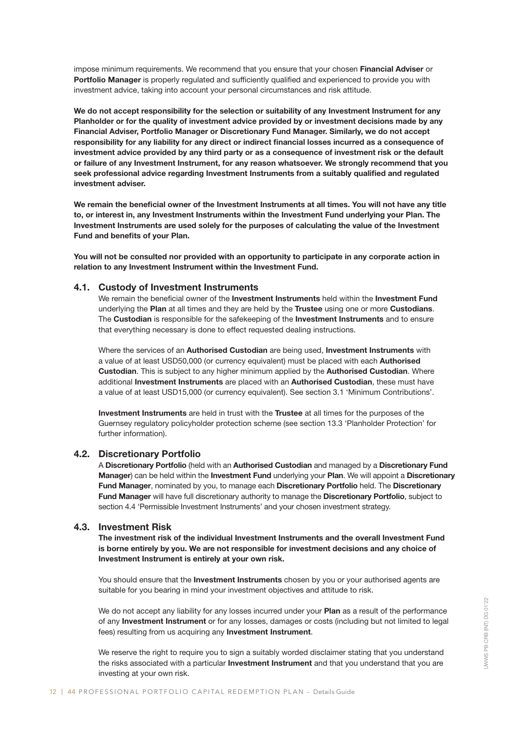impose minimum requirements. We recommend that you ensure that your chosen Financial Adviser or Portfolio Manager is properly regulated and sufficiently qualified and experienced to provide you with investment advice, taking into account your personal circumstances and risk attitude.

We do not accept responsibility for the selection or suitability of any Investment Instrument for any Planholder or for the quality of investment advice provided by or investment decisions made by any Financial Adviser, Portfolio Manager or Discretionary Fund Manager. Similarly, we do not accept responsibility for any liability for any direct or indirect financial losses incurred as a consequence of investment advice provided by any third party or as a consequence of investment risk or the default or failure of any Investment Instrument, for any reason whatsoever. We strongly recommend that you seek professional advice regarding Investment Instruments from a suitably qualified and regulated investment adviser.

We remain the beneficial owner of the Investment Instruments at all times. You will not have any title to, or interest in, any Investment Instruments within the Investment Fund underlying your Plan. The Investment Instruments are used solely for the purposes of calculating the value of the Investment Fund and benefits of your Plan.

You will not be consulted nor provided with an opportunity to participate in any corporate action in relation to any Investment Instrument within the Investment Fund.

## 4.1. Custody of Investment Instruments

We remain the beneficial owner of the Investment Instruments held within the Investment Fund underlying the Plan at all times and they are held by the Trustee using one or more Custodians. The Custodian is responsible for the safekeeping of the Investment Instruments and to ensure that everything necessary is done to effect requested dealing instructions.

Where the services of an Authorised Custodian are being used, Investment Instruments with a value of at least USD50,000 (or currency equivalent) must be placed with each Authorised Custodian. This is subject to any higher minimum applied by the Authorised Custodian. Where additional Investment Instruments are placed with an Authorised Custodian, these must have a value of at least USD15,000 (or currency equivalent). See section 3.1 'Minimum Contributions'.

Investment Instruments are held in trust with the Trustee at all times for the purposes of the Guernsey regulatory policyholder protection scheme (see section 13.3 'Planholder Protection' for further information).

## 4.2. Discretionary Portfolio

A Discretionary Portfolio (held with an Authorised Custodian and managed by a Discretionary Fund Manager) can be held within the Investment Fund underlying your Plan. We will appoint a Discretionary Fund Manager, nominated by you, to manage each Discretionary Portfolio held. The Discretionary Fund Manager will have full discretionary authority to manage the Discretionary Portfolio, subject to section 4.4 'Permissible Investment Instruments' and your chosen investment strategy.

## 4.3. Investment Risk

The investment risk of the individual Investment Instruments and the overall Investment Fund is borne entirely by you. We are not responsible for investment decisions and any choice of Investment Instrument is entirely at your own risk.

You should ensure that the **Investment Instruments** chosen by you or your authorised agents are suitable for you bearing in mind your investment objectives and attitude to risk.

We do not accept any liability for any losses incurred under your Plan as a result of the performance of any Investment Instrument or for any losses, damages or costs (including but not limited to legal fees) resulting from us acquiring any Investment Instrument.

We reserve the right to require you to sign a suitably worded disclaimer stating that you understand the risks associated with a particular **Investment Instrument** and that you understand that you are investing at your own risk.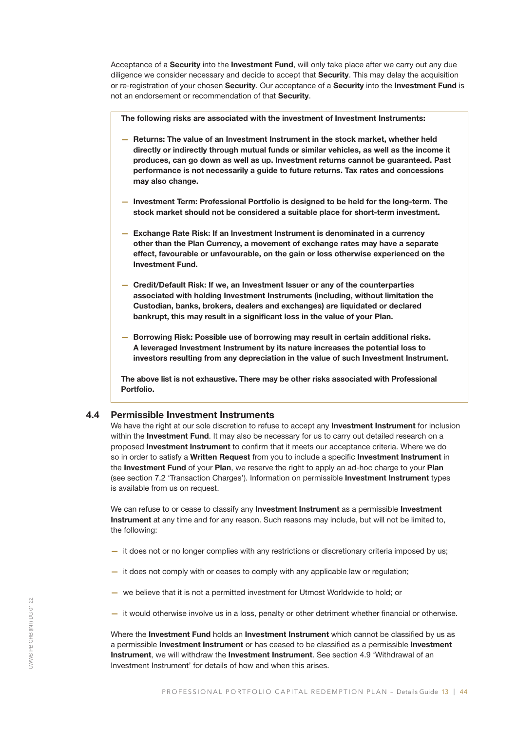Acceptance of a Security into the Investment Fund, will only take place after we carry out any due diligence we consider necessary and decide to accept that **Security**. This may delay the acquisition or re-registration of your chosen Security. Our acceptance of a Security into the Investment Fund is not an endorsement or recommendation of that Security.

The following risks are associated with the investment of Investment Instruments:

- Returns: The value of an Investment Instrument in the stock market, whether held directly or indirectly through mutual funds or similar vehicles, as well as the income it produces, can go down as well as up. Investment returns cannot be guaranteed. Past performance is not necessarily a guide to future returns. Tax rates and concessions may also change.
- Investment Term: Professional Portfolio is designed to be held for the long-term. The stock market should not be considered a suitable place for short-term investment.
- Exchange Rate Risk: If an Investment Instrument is denominated in a currency other than the Plan Currency, a movement of exchange rates may have a separate effect, favourable or unfavourable, on the gain or loss otherwise experienced on the Investment Fund.
- Credit/Default Risk: If we, an Investment Issuer or any of the counterparties associated with holding Investment Instruments (including, without limitation the Custodian, banks, brokers, dealers and exchanges) are liquidated or declared bankrupt, this may result in a significant loss in the value of your Plan.
- Borrowing Risk: Possible use of borrowing may result in certain additional risks. A leveraged Investment Instrument by its nature increases the potential loss to investors resulting from any depreciation in the value of such Investment Instrument.

The above list is not exhaustive. There may be other risks associated with Professional Portfolio.

## 4.4 Permissible Investment Instruments

We have the right at our sole discretion to refuse to accept any **Investment Instrument** for inclusion within the Investment Fund. It may also be necessary for us to carry out detailed research on a proposed Investment Instrument to confirm that it meets our acceptance criteria. Where we do so in order to satisfy a Written Request from you to include a specific Investment Instrument in the **Investment Fund** of your **Plan**, we reserve the right to apply an ad-hoc charge to your **Plan** (see section 7.2 'Transaction Charges'). Information on permissible Investment Instrument types is available from us on request.

We can refuse to or cease to classify any **Investment Instrument** as a permissible **Investment** Instrument at any time and for any reason. Such reasons may include, but will not be limited to, the following:

- it does not or no longer complies with any restrictions or discretionary criteria imposed by us;
- it does not comply with or ceases to comply with any applicable law or regulation;
- we believe that it is not a permitted investment for Utmost Worldwide to hold; or
- it would otherwise involve us in a loss, penalty or other detriment whether financial or otherwise.

Where the Investment Fund holds an Investment Instrument which cannot be classified by us as a permissible Investment Instrument or has ceased to be classified as a permissible Investment Instrument, we will withdraw the Investment Instrument. See section 4.9 'Withdrawal of an Investment Instrument' for details of how and when this arises.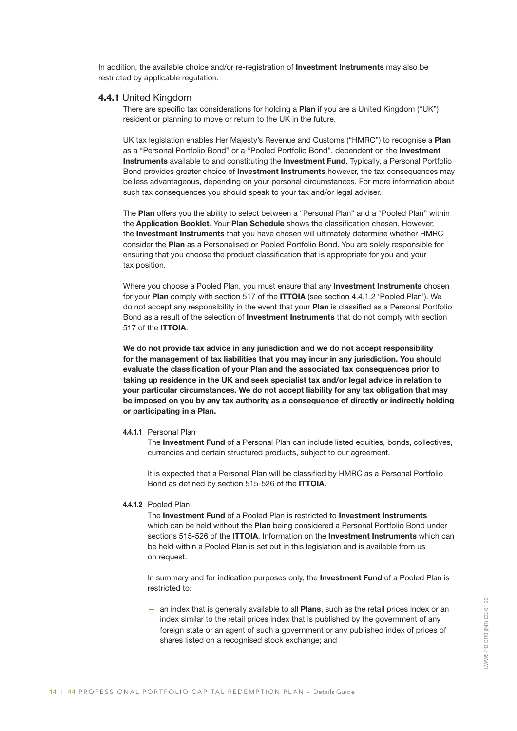In addition, the available choice and/or re-registration of Investment Instruments may also be restricted by applicable regulation.

#### 4.4.1 United Kingdom

There are specific tax considerations for holding a Plan if you are a United Kingdom ("UK") resident or planning to move or return to the UK in the future.

UK tax legislation enables Her Majesty's Revenue and Customs ("HMRC") to recognise a Plan as a "Personal Portfolio Bond" or a "Pooled Portfolio Bond", dependent on the Investment Instruments available to and constituting the Investment Fund. Typically, a Personal Portfolio Bond provides greater choice of **Investment Instruments** however, the tax consequences may be less advantageous, depending on your personal circumstances. For more information about such tax consequences you should speak to your tax and/or legal adviser.

The Plan offers you the ability to select between a "Personal Plan" and a "Pooled Plan" within the Application Booklet. Your Plan Schedule shows the classification chosen. However, the Investment Instruments that you have chosen will ultimately determine whether HMRC consider the Plan as a Personalised or Pooled Portfolio Bond. You are solely responsible for ensuring that you choose the product classification that is appropriate for you and your tax position.

Where you choose a Pooled Plan, you must ensure that any **Investment Instruments** chosen for your Plan comply with section 517 of the ITTOIA (see section 4.4.1.2 'Pooled Plan'). We do not accept any responsibility in the event that your Plan is classified as a Personal Portfolio Bond as a result of the selection of Investment Instruments that do not comply with section 517 of the ITTOIA.

We do not provide tax advice in any jurisdiction and we do not accept responsibility for the management of tax liabilities that you may incur in any jurisdiction. You should evaluate the classification of your Plan and the associated tax consequences prior to taking up residence in the UK and seek specialist tax and/or legal advice in relation to your particular circumstances. We do not accept liability for any tax obligation that may be imposed on you by any tax authority as a consequence of directly or indirectly holding or participating in a Plan.

### 4.4.1.1 Personal Plan

The **Investment Fund** of a Personal Plan can include listed equities, bonds, collectives, currencies and certain structured products, subject to our agreement.

It is expected that a Personal Plan will be classified by HMRC as a Personal Portfolio Bond as defined by section 515-526 of the ITTOIA.

#### 4412 Pooled Plan

The Investment Fund of a Pooled Plan is restricted to Investment Instruments which can be held without the **Plan** being considered a Personal Portfolio Bond under sections 515-526 of the ITTOIA. Information on the Investment Instruments which can be held within a Pooled Plan is set out in this legislation and is available from us on request.

In summary and for indication purposes only, the **Investment Fund** of a Pooled Plan is restricted to:

— an index that is generally available to all Plans, such as the retail prices index or an index similar to the retail prices index that is published by the government of any foreign state or an agent of such a government or any published index of prices of shares listed on a recognised stock exchange; and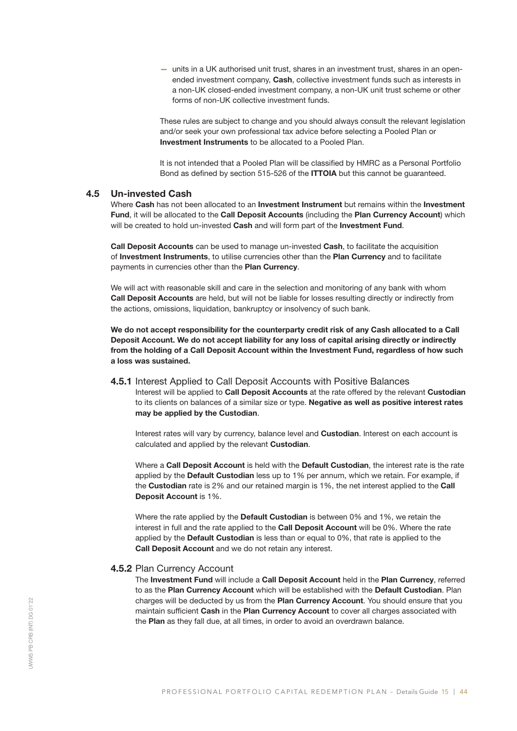— units in a UK authorised unit trust, shares in an investment trust, shares in an openended investment company, Cash, collective investment funds such as interests in a non-UK closed-ended investment company, a non-UK unit trust scheme or other forms of non-UK collective investment funds.

These rules are subject to change and you should always consult the relevant legislation and/or seek your own professional tax advice before selecting a Pooled Plan or Investment Instruments to be allocated to a Pooled Plan.

It is not intended that a Pooled Plan will be classified by HMRC as a Personal Portfolio Bond as defined by section 515-526 of the ITTOIA but this cannot be guaranteed.

## 4.5 Un-invested Cash

Where Cash has not been allocated to an Investment Instrument but remains within the Investment Fund, it will be allocated to the Call Deposit Accounts (including the Plan Currency Account) which will be created to hold un-invested Cash and will form part of the Investment Fund.

Call Deposit Accounts can be used to manage un-invested Cash, to facilitate the acquisition of Investment Instruments, to utilise currencies other than the Plan Currency and to facilitate payments in currencies other than the Plan Currency.

We will act with reasonable skill and care in the selection and monitoring of any bank with whom Call Deposit Accounts are held, but will not be liable for losses resulting directly or indirectly from the actions, omissions, liquidation, bankruptcy or insolvency of such bank.

We do not accept responsibility for the counterparty credit risk of any Cash allocated to a Call Deposit Account. We do not accept liability for any loss of capital arising directly or indirectly from the holding of a Call Deposit Account within the Investment Fund, regardless of how such a loss was sustained.

4.5.1 Interest Applied to Call Deposit Accounts with Positive Balances Interest will be applied to **Call Deposit Accounts** at the rate offered by the relevant **Custodian** to its clients on balances of a similar size or type. Negative as well as positive interest rates may be applied by the Custodian.

Interest rates will vary by currency, balance level and Custodian. Interest on each account is calculated and applied by the relevant Custodian.

Where a Call Deposit Account is held with the Default Custodian, the interest rate is the rate applied by the Default Custodian less up to 1% per annum, which we retain. For example, if the Custodian rate is 2% and our retained margin is 1%, the net interest applied to the Call Deposit Account is 1%.

Where the rate applied by the Default Custodian is between 0% and 1%, we retain the interest in full and the rate applied to the **Call Deposit Account** will be 0%. Where the rate applied by the Default Custodian is less than or equal to 0%, that rate is applied to the Call Deposit Account and we do not retain any interest.

#### 4.5.2 Plan Currency Account

The Investment Fund will include a Call Deposit Account held in the Plan Currency, referred to as the Plan Currency Account which will be established with the Default Custodian. Plan charges will be deducted by us from the Plan Currency Account. You should ensure that you maintain sufficient Cash in the Plan Currency Account to cover all charges associated with the Plan as they fall due, at all times, in order to avoid an overdrawn balance.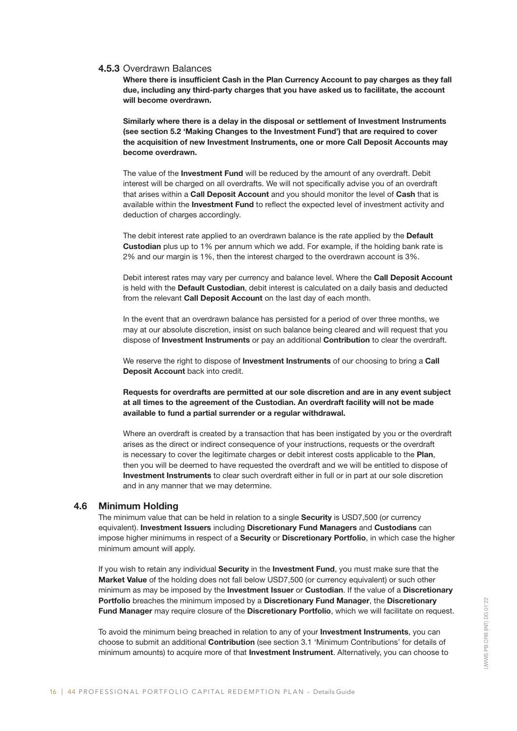## 4.5.3 Overdrawn Balances

Where there is insufficient Cash in the Plan Currency Account to pay charges as they fall due, including any third-party charges that you have asked us to facilitate, the account will become overdrawn.

Similarly where there is a delay in the disposal or settlement of Investment Instruments (see section 5.2 'Making Changes to the Investment Fund') that are required to cover the acquisition of new Investment Instruments, one or more Call Deposit Accounts may become overdrawn.

The value of the **Investment Fund** will be reduced by the amount of any overdraft. Debit interest will be charged on all overdrafts. We will not specifically advise you of an overdraft that arises within a Call Deposit Account and you should monitor the level of Cash that is available within the Investment Fund to reflect the expected level of investment activity and deduction of charges accordingly.

The debit interest rate applied to an overdrawn balance is the rate applied by the Default Custodian plus up to 1% per annum which we add. For example, if the holding bank rate is 2% and our margin is 1%, then the interest charged to the overdrawn account is 3%.

Debit interest rates may vary per currency and balance level. Where the Call Deposit Account is held with the Default Custodian, debit interest is calculated on a daily basis and deducted from the relevant Call Deposit Account on the last day of each month.

In the event that an overdrawn balance has persisted for a period of over three months, we may at our absolute discretion, insist on such balance being cleared and will request that you dispose of Investment Instruments or pay an additional Contribution to clear the overdraft.

We reserve the right to dispose of **Investment Instruments** of our choosing to bring a Call Deposit Account back into credit.

Requests for overdrafts are permitted at our sole discretion and are in any event subject at all times to the agreement of the Custodian. An overdraft facility will not be made available to fund a partial surrender or a regular withdrawal.

Where an overdraft is created by a transaction that has been instigated by you or the overdraft arises as the direct or indirect consequence of your instructions, requests or the overdraft is necessary to cover the legitimate charges or debit interest costs applicable to the Plan, then you will be deemed to have requested the overdraft and we will be entitled to dispose of Investment Instruments to clear such overdraft either in full or in part at our sole discretion and in any manner that we may determine.

#### 4.6 Minimum Holding

The minimum value that can be held in relation to a single Security is USD7,500 (or currency equivalent). Investment Issuers including Discretionary Fund Managers and Custodians can impose higher minimums in respect of a Security or Discretionary Portfolio, in which case the higher minimum amount will apply.

If you wish to retain any individual Security in the Investment Fund, you must make sure that the Market Value of the holding does not fall below USD7,500 (or currency equivalent) or such other minimum as may be imposed by the Investment Issuer or Custodian. If the value of a Discretionary Portfolio breaches the minimum imposed by a Discretionary Fund Manager, the Discretionary Fund Manager may require closure of the Discretionary Portfolio, which we will facilitate on request.

To avoid the minimum being breached in relation to any of your Investment Instruments, you can choose to submit an additional **Contribution** (see section 3.1 'Minimum Contributions' for details of minimum amounts) to acquire more of that **Investment Instrument**. Alternatively, you can choose to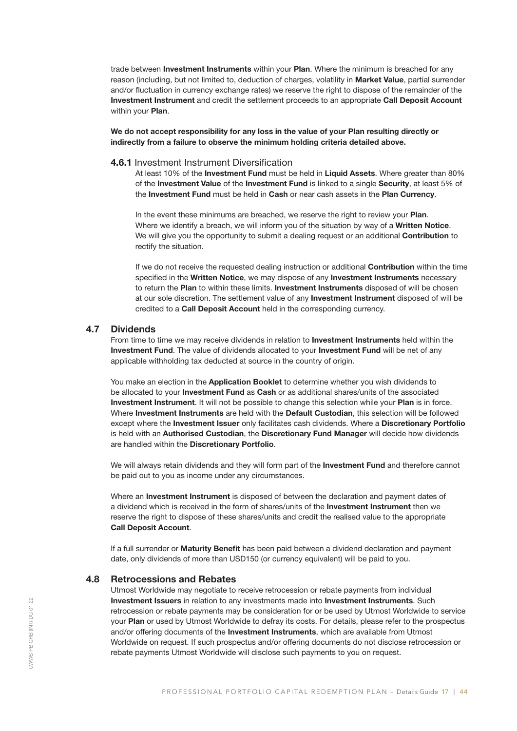trade between Investment Instruments within your Plan. Where the minimum is breached for any reason (including, but not limited to, deduction of charges, volatility in Market Value, partial surrender and/or fluctuation in currency exchange rates) we reserve the right to dispose of the remainder of the Investment Instrument and credit the settlement proceeds to an appropriate Call Deposit Account within your **Plan.** 

We do not accept responsibility for any loss in the value of your Plan resulting directly or indirectly from a failure to observe the minimum holding criteria detailed above.

#### 4.6.1 Investment Instrument Diversification

At least 10% of the Investment Fund must be held in Liquid Assets. Where greater than 80% of the Investment Value of the Investment Fund is linked to a single Security, at least 5% of the Investment Fund must be held in Cash or near cash assets in the Plan Currency.

In the event these minimums are breached, we reserve the right to review your Plan. Where we identify a breach, we will inform you of the situation by way of a Written Notice. We will give you the opportunity to submit a dealing request or an additional **Contribution** to rectify the situation.

If we do not receive the requested dealing instruction or additional **Contribution** within the time specified in the Written Notice, we may dispose of any Investment Instruments necessary to return the Plan to within these limits. Investment Instruments disposed of will be chosen at our sole discretion. The settlement value of any Investment Instrument disposed of will be credited to a Call Deposit Account held in the corresponding currency.

## 4.7 Dividends

From time to time we may receive dividends in relation to Investment Instruments held within the Investment Fund. The value of dividends allocated to your Investment Fund will be net of any applicable withholding tax deducted at source in the country of origin.

You make an election in the Application Booklet to determine whether you wish dividends to be allocated to your **Investment Fund** as Cash or as additional shares/units of the associated Investment Instrument. It will not be possible to change this selection while your Plan is in force. Where Investment Instruments are held with the Default Custodian, this selection will be followed except where the Investment Issuer only facilitates cash dividends. Where a Discretionary Portfolio is held with an Authorised Custodian, the Discretionary Fund Manager will decide how dividends are handled within the Discretionary Portfolio.

We will always retain dividends and they will form part of the Investment Fund and therefore cannot be paid out to you as income under any circumstances.

Where an **Investment Instrument** is disposed of between the declaration and payment dates of a dividend which is received in the form of shares/units of the **Investment Instrument** then we reserve the right to dispose of these shares/units and credit the realised value to the appropriate Call Deposit Account.

If a full surrender or **Maturity Benefit** has been paid between a dividend declaration and payment date, only dividends of more than USD150 (or currency equivalent) will be paid to you.

#### 4.8 Retrocessions and Rebates

Utmost Worldwide may negotiate to receive retrocession or rebate payments from individual Investment Issuers in relation to any investments made into Investment Instruments. Such retrocession or rebate payments may be consideration for or be used by Utmost Worldwide to service your Plan or used by Utmost Worldwide to defray its costs. For details, please refer to the prospectus and/or offering documents of the Investment Instruments, which are available from Utmost Worldwide on request. If such prospectus and/or offering documents do not disclose retrocession or rebate payments Utmost Worldwide will disclose such payments to you on request.

UWWS PB CRB (INT) DG 01'22

JWWS PB CRB (INT) DG 01'22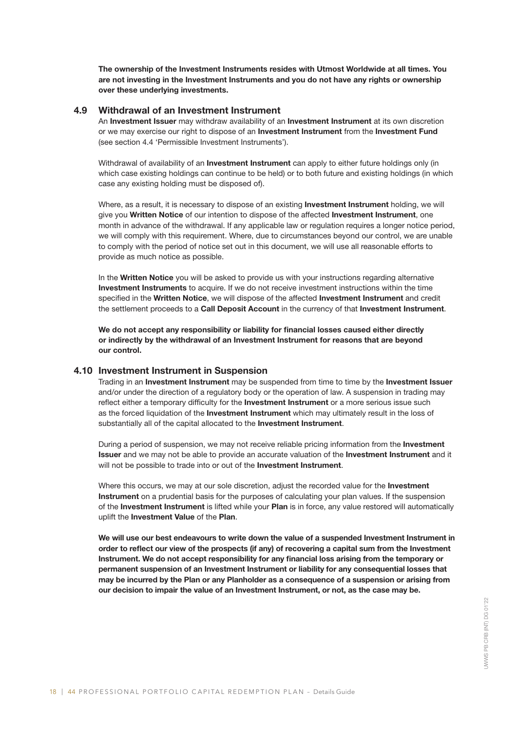The ownership of the Investment Instruments resides with Utmost Worldwide at all times. You are not investing in the Investment Instruments and you do not have any rights or ownership over these underlying investments.

## 4.9 Withdrawal of an Investment Instrument

An Investment Issuer may withdraw availability of an Investment Instrument at its own discretion or we may exercise our right to dispose of an Investment Instrument from the Investment Fund (see section 4.4 'Permissible Investment Instruments').

Withdrawal of availability of an **Investment Instrument** can apply to either future holdings only (in which case existing holdings can continue to be held) or to both future and existing holdings (in which case any existing holding must be disposed of).

Where, as a result, it is necessary to dispose of an existing **Investment Instrument** holding, we will give you Written Notice of our intention to dispose of the affected Investment Instrument, one month in advance of the withdrawal. If any applicable law or regulation requires a longer notice period, we will comply with this requirement. Where, due to circumstances beyond our control, we are unable to comply with the period of notice set out in this document, we will use all reasonable efforts to provide as much notice as possible.

In the Written Notice you will be asked to provide us with your instructions regarding alternative Investment Instruments to acquire. If we do not receive investment instructions within the time specified in the Written Notice, we will dispose of the affected Investment Instrument and credit the settlement proceeds to a Call Deposit Account in the currency of that Investment Instrument.

We do not accept any responsibility or liability for financial losses caused either directly or indirectly by the withdrawal of an Investment Instrument for reasons that are beyond our control.

## 4.10 Investment Instrument in Suspension

Trading in an Investment Instrument may be suspended from time to time by the Investment Issuer and/or under the direction of a regulatory body or the operation of law. A suspension in trading may reflect either a temporary difficulty for the Investment Instrument or a more serious issue such as the forced liquidation of the Investment Instrument which may ultimately result in the loss of substantially all of the capital allocated to the **Investment Instrument**.

During a period of suspension, we may not receive reliable pricing information from the Investment **Issuer** and we may not be able to provide an accurate valuation of the **Investment Instrument** and it will not be possible to trade into or out of the **Investment Instrument**.

Where this occurs, we may at our sole discretion, adjust the recorded value for the Investment Instrument on a prudential basis for the purposes of calculating your plan values. If the suspension of the Investment Instrument is lifted while your Plan is in force, any value restored will automatically uplift the Investment Value of the Plan.

We will use our best endeavours to write down the value of a suspended Investment Instrument in order to reflect our view of the prospects (if any) of recovering a capital sum from the Investment Instrument. We do not accept responsibility for any financial loss arising from the temporary or permanent suspension of an Investment Instrument or liability for any consequential losses that may be incurred by the Plan or any Planholder as a consequence of a suspension or arising from our decision to impair the value of an Investment Instrument, or not, as the case may be.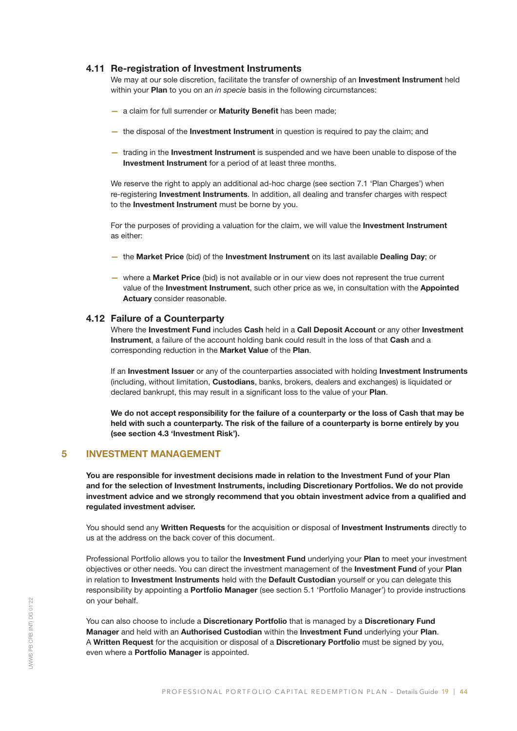#### 4.11 Re-registration of Investment Instruments

We may at our sole discretion, facilitate the transfer of ownership of an Investment Instrument held within your Plan to you on an *in specie* basis in the following circumstances:

- a claim for full surrender or **Maturity Benefit** has been made;
- the disposal of the **Investment Instrument** in question is required to pay the claim; and
- trading in the Investment Instrument is suspended and we have been unable to dispose of the Investment Instrument for a period of at least three months.

We reserve the right to apply an additional ad-hoc charge (see section 7.1 'Plan Charges') when re-registering Investment Instruments. In addition, all dealing and transfer charges with respect to the Investment Instrument must be borne by you.

For the purposes of providing a valuation for the claim, we will value the **Investment Instrument** as either:

- the Market Price (bid) of the Investment Instrument on its last available Dealing Day; or
- where a Market Price (bid) is not available or in our view does not represent the true current value of the Investment Instrument, such other price as we, in consultation with the Appointed Actuary consider reasonable.

#### 4.12 Failure of a Counterparty

Where the Investment Fund includes Cash held in a Call Deposit Account or any other Investment Instrument, a failure of the account holding bank could result in the loss of that Cash and a corresponding reduction in the Market Value of the Plan.

If an Investment Issuer or any of the counterparties associated with holding Investment Instruments (including, without limitation, Custodians, banks, brokers, dealers and exchanges) is liquidated or declared bankrupt, this may result in a significant loss to the value of your Plan.

We do not accept responsibility for the failure of a counterparty or the loss of Cash that may be held with such a counterparty. The risk of the failure of a counterparty is borne entirely by you (see section 4.3 'Investment Risk').

## 5 INVESTMENT MANAGEMENT

You are responsible for investment decisions made in relation to the Investment Fund of your Plan and for the selection of Investment Instruments, including Discretionary Portfolios. We do not provide investment advice and we strongly recommend that you obtain investment advice from a qualified and regulated investment adviser.

You should send any Written Requests for the acquisition or disposal of Investment Instruments directly to us at the address on the back cover of this document.

Professional Portfolio allows you to tailor the Investment Fund underlying your Plan to meet your investment objectives or other needs. You can direct the investment management of the Investment Fund of your Plan in relation to Investment Instruments held with the Default Custodian yourself or you can delegate this responsibility by appointing a Portfolio Manager (see section 5.1 'Portfolio Manager') to provide instructions on your behalf.

You can also choose to include a Discretionary Portfolio that is managed by a Discretionary Fund Manager and held with an Authorised Custodian within the Investment Fund underlying your Plan. A Written Request for the acquisition or disposal of a Discretionary Portfolio must be signed by you, even where a Portfolio Manager is appointed.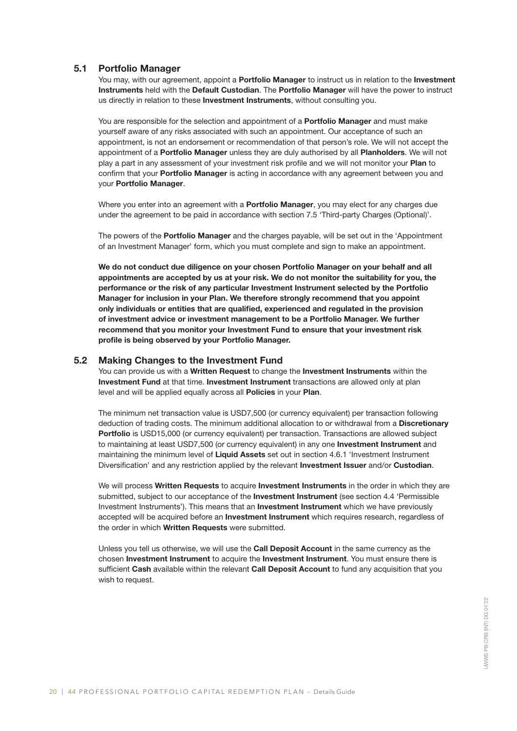## 5.1 Portfolio Manager

You may, with our agreement, appoint a Portfolio Manager to instruct us in relation to the Investment Instruments held with the Default Custodian. The Portfolio Manager will have the power to instruct us directly in relation to these Investment Instruments, without consulting you.

You are responsible for the selection and appointment of a **Portfolio Manager** and must make yourself aware of any risks associated with such an appointment. Our acceptance of such an appointment, is not an endorsement or recommendation of that person's role. We will not accept the appointment of a Portfolio Manager unless they are duly authorised by all Planholders. We will not play a part in any assessment of your investment risk profile and we will not monitor your Plan to confirm that your **Portfolio Manager** is acting in accordance with any agreement between you and your Portfolio Manager.

Where you enter into an agreement with a **Portfolio Manager**, you may elect for any charges due under the agreement to be paid in accordance with section 7.5 'Third-party Charges (Optional)'.

The powers of the **Portfolio Manager** and the charges payable, will be set out in the 'Appointment of an Investment Manager' form, which you must complete and sign to make an appointment.

We do not conduct due diligence on your chosen Portfolio Manager on your behalf and all appointments are accepted by us at your risk. We do not monitor the suitability for you, the performance or the risk of any particular Investment Instrument selected by the Portfolio Manager for inclusion in your Plan. We therefore strongly recommend that you appoint only individuals or entities that are qualified, experienced and regulated in the provision of investment advice or investment management to be a Portfolio Manager. We further recommend that you monitor your Investment Fund to ensure that your investment risk profile is being observed by your Portfolio Manager.

## 5.2 Making Changes to the Investment Fund

You can provide us with a Written Request to change the Investment Instruments within the Investment Fund at that time. Investment Instrument transactions are allowed only at plan level and will be applied equally across all Policies in your Plan.

The minimum net transaction value is USD7,500 (or currency equivalent) per transaction following deduction of trading costs. The minimum additional allocation to or withdrawal from a Discretionary Portfolio is USD15,000 (or currency equivalent) per transaction. Transactions are allowed subject to maintaining at least USD7,500 (or currency equivalent) in any one Investment Instrument and maintaining the minimum level of Liquid Assets set out in section 4.6.1 'Investment Instrument Diversification' and any restriction applied by the relevant **Investment Issuer** and/or **Custodian**.

We will process Written Requests to acquire Investment Instruments in the order in which they are submitted, subject to our acceptance of the **Investment Instrument** (see section 4.4 'Permissible Investment Instruments'). This means that an Investment Instrument which we have previously accepted will be acquired before an Investment Instrument which requires research, regardless of the order in which Written Requests were submitted.

Unless you tell us otherwise, we will use the **Call Deposit Account** in the same currency as the chosen Investment Instrument to acquire the Investment Instrument. You must ensure there is sufficient Cash available within the relevant Call Deposit Account to fund any acquisition that you wish to request.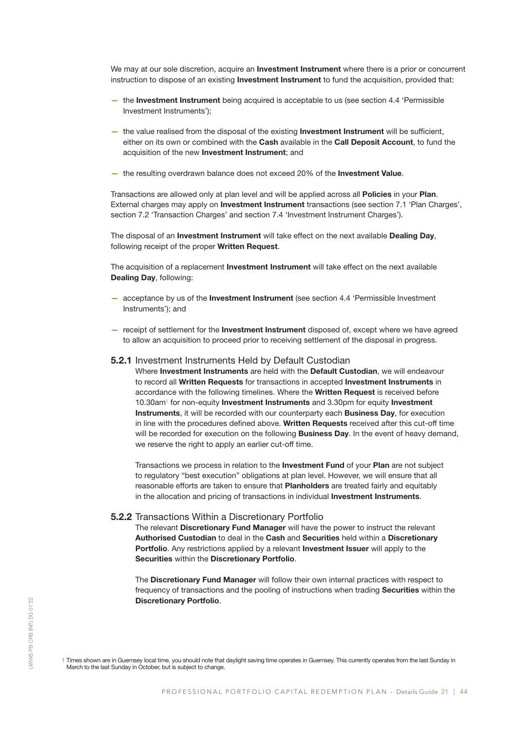We may at our sole discretion, acquire an **Investment Instrument** where there is a prior or concurrent instruction to dispose of an existing Investment Instrument to fund the acquisition, provided that:

- the Investment Instrument being acquired is acceptable to us (see section 4.4 'Permissible Investment Instruments');
- the value realised from the disposal of the existing **Investment Instrument** will be sufficient, either on its own or combined with the Cash available in the Call Deposit Account, to fund the acquisition of the new Investment Instrument; and
- the resulting overdrawn balance does not exceed 20% of the Investment Value.

Transactions are allowed only at plan level and will be applied across all Policies in your Plan. External charges may apply on Investment Instrument transactions (see section 7.1 'Plan Charges', section 7.2 'Transaction Charges' and section 7.4 'Investment Instrument Charges').

The disposal of an **Investment Instrument** will take effect on the next available **Dealing Day**, following receipt of the proper Written Request.

The acquisition of a replacement Investment Instrument will take effect on the next available Dealing Day, following:

- acceptance by us of the Investment Instrument (see section 4.4 'Permissible Investment Instruments'); and
- receipt of settlement for the **Investment Instrument** disposed of, except where we have agreed to allow an acquisition to proceed prior to receiving settlement of the disposal in progress.

#### 5.2.1 Investment Instruments Held by Default Custodian

Where Investment Instruments are held with the Default Custodian, we will endeavour to record all Written Requests for transactions in accepted Investment Instruments in accordance with the following timelines. Where the Written Request is received before 10.30am<sup>1</sup> for non-equity **Investment Instruments** and 3.30pm for equity Investment Instruments, it will be recorded with our counterparty each Business Day, for execution in line with the procedures defined above. Written Requests received after this cut-off time will be recorded for execution on the following **Business Day**. In the event of heavy demand, we reserve the right to apply an earlier cut-off time.

Transactions we process in relation to the **Investment Fund** of your Plan are not subject to regulatory "best execution" obligations at plan level. However, we will ensure that all reasonable efforts are taken to ensure that Planholders are treated fairly and equitably in the allocation and pricing of transactions in individual **Investment Instruments**.

#### 5.2.2 Transactions Within a Discretionary Portfolio

The relevant Discretionary Fund Manager will have the power to instruct the relevant Authorised Custodian to deal in the Cash and Securities held within a Discretionary Portfolio. Any restrictions applied by a relevant **Investment Issuer** will apply to the Securities within the Discretionary Portfolio.

The Discretionary Fund Manager will follow their own internal practices with respect to frequency of transactions and the pooling of instructions when trading Securities within the Discretionary Portfolio.

1 Times shown are in Guernsey local time, you should note that daylight saving time operates in Guernsey. This currently operates from the last Sunday in March to the last Sunday in October, but is subject to change.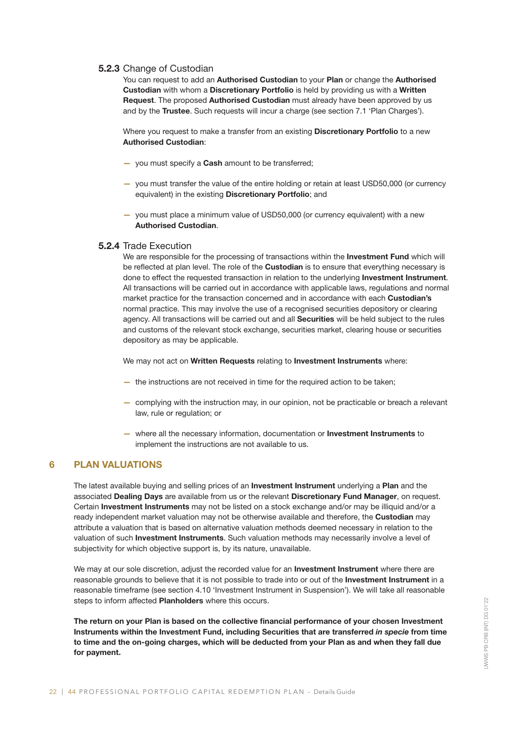#### 5.2.3 Change of Custodian

You can request to add an Authorised Custodian to your Plan or change the Authorised Custodian with whom a Discretionary Portfolio is held by providing us with a Written Request. The proposed Authorised Custodian must already have been approved by us and by the Trustee. Such requests will incur a charge (see section 7.1 'Plan Charges').

Where you request to make a transfer from an existing **Discretionary Portfolio** to a new Authorised Custodian:

- $-$  you must specify a **Cash** amount to be transferred;
- you must transfer the value of the entire holding or retain at least USD50,000 (or currency equivalent) in the existing Discretionary Portfolio; and
- you must place a minimum value of USD50,000 (or currency equivalent) with a new Authorised Custodian.

#### 5.2.4 Trade Execution

We are responsible for the processing of transactions within the Investment Fund which will be reflected at plan level. The role of the **Custodian** is to ensure that everything necessary is done to effect the requested transaction in relation to the underlying **Investment Instrument**. All transactions will be carried out in accordance with applicable laws, regulations and normal market practice for the transaction concerned and in accordance with each Custodian's normal practice. This may involve the use of a recognised securities depository or clearing agency. All transactions will be carried out and all Securities will be held subject to the rules and customs of the relevant stock exchange, securities market, clearing house or securities depository as may be applicable.

We may not act on Written Requests relating to Investment Instruments where:

- the instructions are not received in time for the required action to be taken;
- complying with the instruction may, in our opinion, not be practicable or breach a relevant law, rule or regulation; or
- where all the necessary information, documentation or Investment Instruments to implement the instructions are not available to us.

## 6 PLAN VALUATIONS

The latest available buying and selling prices of an Investment Instrument underlying a Plan and the associated Dealing Days are available from us or the relevant Discretionary Fund Manager, on request. Certain Investment Instruments may not be listed on a stock exchange and/or may be illiquid and/or a ready independent market valuation may not be otherwise available and therefore, the Custodian may attribute a valuation that is based on alternative valuation methods deemed necessary in relation to the valuation of such Investment Instruments. Such valuation methods may necessarily involve a level of subjectivity for which objective support is, by its nature, unavailable.

We may at our sole discretion, adjust the recorded value for an **Investment Instrument** where there are reasonable grounds to believe that it is not possible to trade into or out of the Investment Instrument in a reasonable timeframe (see section 4.10 'Investment Instrument in Suspension'). We will take all reasonable steps to inform affected Planholders where this occurs.

The return on your Plan is based on the collective financial performance of your chosen Investment Instruments within the Investment Fund, including Securities that are transferred *in specie* from time to time and the on-going charges, which will be deducted from your Plan as and when they fall due for payment.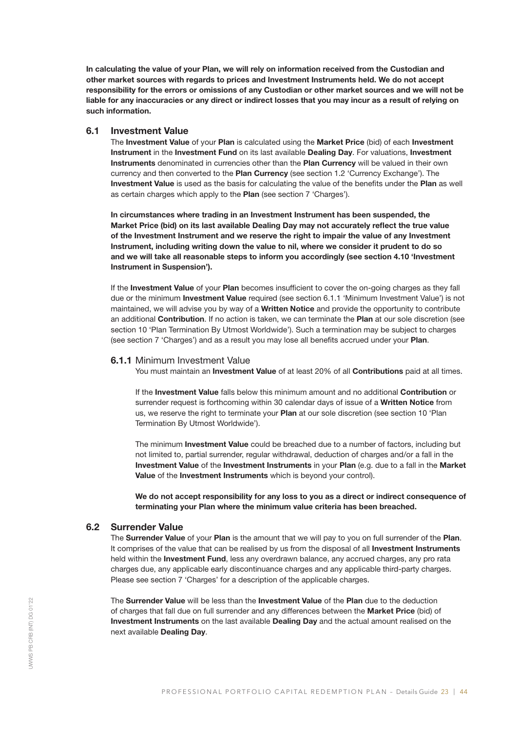In calculating the value of your Plan, we will rely on information received from the Custodian and other market sources with regards to prices and Investment Instruments held. We do not accept responsibility for the errors or omissions of any Custodian or other market sources and we will not be liable for any inaccuracies or any direct or indirect losses that you may incur as a result of relying on such information.

## 6.1 Investment Value

The Investment Value of your Plan is calculated using the Market Price (bid) of each Investment Instrument in the Investment Fund on its last available Dealing Day. For valuations, Investment Instruments denominated in currencies other than the Plan Currency will be valued in their own currency and then converted to the Plan Currency (see section 1.2 'Currency Exchange'). The Investment Value is used as the basis for calculating the value of the benefits under the Plan as well as certain charges which apply to the Plan (see section 7 'Charges').

In circumstances where trading in an Investment Instrument has been suspended, the Market Price (bid) on its last available Dealing Day may not accurately reflect the true value of the Investment Instrument and we reserve the right to impair the value of any Investment Instrument, including writing down the value to nil, where we consider it prudent to do so and we will take all reasonable steps to inform you accordingly (see section 4.10 'Investment Instrument in Suspension').

If the Investment Value of your Plan becomes insufficient to cover the on-going charges as they fall due or the minimum Investment Value required (see section 6.1.1 'Minimum Investment Value') is not maintained, we will advise you by way of a Written Notice and provide the opportunity to contribute an additional **Contribution**. If no action is taken, we can terminate the **Plan** at our sole discretion (see section 10 'Plan Termination By Utmost Worldwide'). Such a termination may be subject to charges (see section 7 'Charges') and as a result you may lose all benefits accrued under your Plan.

#### 6.1.1 Minimum Investment Value

You must maintain an Investment Value of at least 20% of all Contributions paid at all times.

If the Investment Value falls below this minimum amount and no additional Contribution or surrender request is forthcoming within 30 calendar days of issue of a Written Notice from us, we reserve the right to terminate your Plan at our sole discretion (see section 10 'Plan Termination By Utmost Worldwide').

The minimum Investment Value could be breached due to a number of factors, including but not limited to, partial surrender, regular withdrawal, deduction of charges and/or a fall in the Investment Value of the Investment Instruments in your Plan (e.g. due to a fall in the Market Value of the Investment Instruments which is beyond your control).

We do not accept responsibility for any loss to you as a direct or indirect consequence of terminating your Plan where the minimum value criteria has been breached.

## 6.2 Surrender Value

The Surrender Value of your Plan is the amount that we will pay to you on full surrender of the Plan. It comprises of the value that can be realised by us from the disposal of all **Investment Instruments** held within the Investment Fund, less any overdrawn balance, any accrued charges, any pro rata charges due, any applicable early discontinuance charges and any applicable third-party charges. Please see section 7 'Charges' for a description of the applicable charges.

The Surrender Value will be less than the Investment Value of the Plan due to the deduction of charges that fall due on full surrender and any differences between the Market Price (bid) of Investment Instruments on the last available Dealing Day and the actual amount realised on the next available Dealing Day.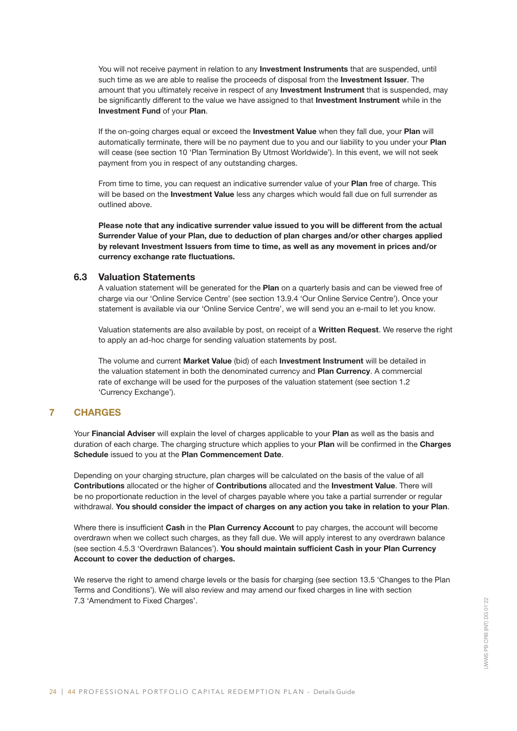You will not receive payment in relation to any Investment Instruments that are suspended, until such time as we are able to realise the proceeds of disposal from the Investment Issuer. The amount that you ultimately receive in respect of any **Investment Instrument** that is suspended, may be significantly different to the value we have assigned to that Investment Instrument while in the Investment Fund of your Plan.

If the on-going charges equal or exceed the **Investment Value** when they fall due, your **Plan** will automatically terminate, there will be no payment due to you and our liability to you under your Plan will cease (see section 10 'Plan Termination By Utmost Worldwide'). In this event, we will not seek payment from you in respect of any outstanding charges.

From time to time, you can request an indicative surrender value of your Plan free of charge. This will be based on the Investment Value less any charges which would fall due on full surrender as outlined above.

Please note that any indicative surrender value issued to you will be different from the actual Surrender Value of your Plan, due to deduction of plan charges and/or other charges applied by relevant Investment Issuers from time to time, as well as any movement in prices and/or currency exchange rate fluctuations.

## 6.3 Valuation Statements

A valuation statement will be generated for the Plan on a quarterly basis and can be viewed free of charge via our 'Online Service Centre' (see section 13.9.4 'Our Online Service Centre'). Once your statement is available via our 'Online Service Centre', we will send you an e-mail to let you know.

Valuation statements are also available by post, on receipt of a Written Request. We reserve the right to apply an ad-hoc charge for sending valuation statements by post.

The volume and current Market Value (bid) of each Investment Instrument will be detailed in the valuation statement in both the denominated currency and Plan Currency. A commercial rate of exchange will be used for the purposes of the valuation statement (see section 1.2 'Currency Exchange').

## 7 CHARGES

Your Financial Adviser will explain the level of charges applicable to your Plan as well as the basis and duration of each charge. The charging structure which applies to your Plan will be confirmed in the Charges Schedule issued to you at the Plan Commencement Date.

Depending on your charging structure, plan charges will be calculated on the basis of the value of all Contributions allocated or the higher of Contributions allocated and the Investment Value. There will be no proportionate reduction in the level of charges payable where you take a partial surrender or regular withdrawal. You should consider the impact of charges on any action you take in relation to your Plan.

Where there is insufficient Cash in the Plan Currency Account to pay charges, the account will become overdrawn when we collect such charges, as they fall due. We will apply interest to any overdrawn balance (see section 4.5.3 'Overdrawn Balances'). You should maintain sufficient Cash in your Plan Currency Account to cover the deduction of charges.

We reserve the right to amend charge levels or the basis for charging (see section 13.5 'Changes to the Plan Terms and Conditions'). We will also review and may amend our fixed charges in line with section 7.3 'Amendment to Fixed Charges'.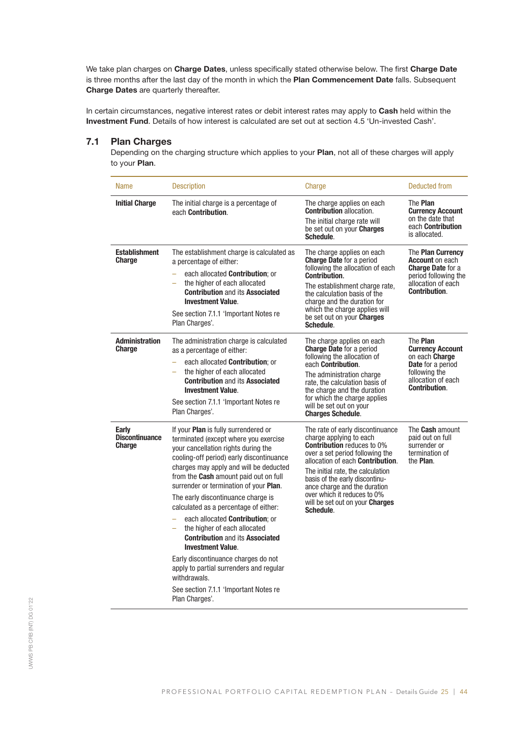We take plan charges on Charge Dates, unless specifically stated otherwise below. The first Charge Date is three months after the last day of the month in which the Plan Commencement Date falls. Subsequent Charge Dates are quarterly thereafter.

In certain circumstances, negative interest rates or debit interest rates may apply to Cash held within the Investment Fund. Details of how interest is calculated are set out at section 4.5 'Un-invested Cash'.

## 7.1 Plan Charges

Depending on the charging structure which applies to your Plan, not all of these charges will apply to your Plan.

| <b>Name</b>                                            | <b>Description</b>                                                                                                                                                                                                                                                                                                                                                                                                                                                                                                                                                                                                                                                                                           | Charge                                                                                                                                                                                                                                                                                                                                                                | <b>Deducted from</b>                                                                                                                                    |
|--------------------------------------------------------|--------------------------------------------------------------------------------------------------------------------------------------------------------------------------------------------------------------------------------------------------------------------------------------------------------------------------------------------------------------------------------------------------------------------------------------------------------------------------------------------------------------------------------------------------------------------------------------------------------------------------------------------------------------------------------------------------------------|-----------------------------------------------------------------------------------------------------------------------------------------------------------------------------------------------------------------------------------------------------------------------------------------------------------------------------------------------------------------------|---------------------------------------------------------------------------------------------------------------------------------------------------------|
| <b>Initial Charge</b>                                  | The initial charge is a percentage of<br>each Contribution.                                                                                                                                                                                                                                                                                                                                                                                                                                                                                                                                                                                                                                                  | The charge applies on each<br><b>Contribution allocation.</b><br>The initial charge rate will<br>be set out on your Charges<br>Schedule.                                                                                                                                                                                                                              | The Plan<br><b>Currency Account</b><br>on the date that<br>each <b>Contribution</b><br>is allocated.                                                    |
| <b>Establishment</b><br><b>Charge</b>                  | The establishment charge is calculated as<br>a percentage of either:<br>each allocated <b>Contribution</b> ; or<br>the higher of each allocated<br>$\equiv$<br><b>Contribution and its Associated</b><br><b>Investment Value.</b><br>See section 7.1.1 'Important Notes re<br>Plan Charges'.                                                                                                                                                                                                                                                                                                                                                                                                                 | The charge applies on each<br><b>Charge Date</b> for a period<br>following the allocation of each<br><b>Contribution.</b><br>The establishment charge rate,<br>the calculation basis of the<br>charge and the duration for<br>which the charge applies will<br>be set out on your Charges<br>Schedule.                                                                | The <b>Plan Currency</b><br><b>Account on each</b><br><b>Charge Date for a</b><br>period following the<br>allocation of each<br><b>Contribution</b>     |
| <b>Administration</b><br><b>Charge</b>                 | The administration charge is calculated<br>as a percentage of either:<br>each allocated <b>Contribution</b> ; or<br>÷,<br>the higher of each allocated<br><b>Contribution and its Associated</b><br><b>Investment Value.</b><br>See section 7.1.1 'Important Notes re<br>Plan Charges'.                                                                                                                                                                                                                                                                                                                                                                                                                      | The charge applies on each<br><b>Charge Date</b> for a period<br>following the allocation of<br>each Contribution.<br>The administration charge<br>rate, the calculation basis of<br>the charge and the duration<br>for which the charge applies<br>will be set out on your<br><b>Charges Schedule.</b>                                                               | The Plan<br><b>Currency Account</b><br>on each <b>Charge</b><br><b>Date</b> for a period<br>following the<br>allocation of each<br><b>Contribution.</b> |
| <b>Early</b><br><b>Discontinuance</b><br><b>Charge</b> | If your <b>Plan</b> is fully surrendered or<br>terminated (except where you exercise<br>your cancellation rights during the<br>cooling-off period) early discontinuance<br>charges may apply and will be deducted<br>from the Cash amount paid out on full<br>surrender or termination of your Plan.<br>The early discontinuance charge is<br>calculated as a percentage of either:<br>each allocated <b>Contribution</b> ; or<br>÷,<br>the higher of each allocated<br>÷<br><b>Contribution and its Associated</b><br><b>Investment Value.</b><br>Early discontinuance charges do not<br>apply to partial surrenders and regular<br>withdrawals.<br>See section 7.1.1 'Important Notes re<br>Plan Charges'. | The rate of early discontinuance<br>charge applying to each<br><b>Contribution</b> reduces to 0%<br>over a set period following the<br>allocation of each <b>Contribution</b> .<br>The initial rate, the calculation<br>basis of the early discontinu-<br>ance charge and the duration<br>over which it reduces to 0%<br>will be set out on your Charges<br>Schedule. | The <b>Cash</b> amount<br>paid out on full<br>surrender or<br>termination of<br>the Plan.                                                               |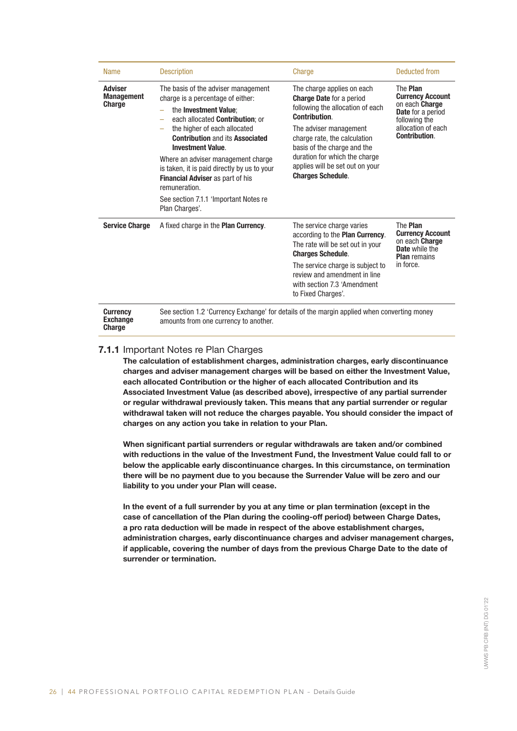| <b>Name</b>                                   | <b>Description</b>                                                                                                                                                                                                                                                                                                                                                                                                                                              | Charge                                                                                                                                                                                                                                                                                                            | Deducted from                                                                                                                                                 |
|-----------------------------------------------|-----------------------------------------------------------------------------------------------------------------------------------------------------------------------------------------------------------------------------------------------------------------------------------------------------------------------------------------------------------------------------------------------------------------------------------------------------------------|-------------------------------------------------------------------------------------------------------------------------------------------------------------------------------------------------------------------------------------------------------------------------------------------------------------------|---------------------------------------------------------------------------------------------------------------------------------------------------------------|
| <b>Adviser</b><br><b>Management</b><br>Charge | The basis of the adviser management<br>charge is a percentage of either:<br>the <b>Investment Value</b> :<br>each allocated <b>Contribution</b> ; or<br>the higher of each allocated<br><b>Contribution and its Associated</b><br><b>Investment Value.</b><br>Where an adviser management charge<br>is taken, it is paid directly by us to your<br>Financial Adviser as part of his<br>remuneration.<br>See section 7.1.1 'Important Notes re<br>Plan Charges'. | The charge applies on each<br><b>Charge Date</b> for a period<br>following the allocation of each<br><b>Contribution</b><br>The adviser management<br>charge rate, the calculation<br>basis of the charge and the<br>duration for which the charge<br>applies will be set out on your<br><b>Charges Schedule.</b> | The <b>Plan</b><br><b>Currency Account</b><br>on each <b>Charge</b><br><b>Date</b> for a period<br>following the<br>allocation of each<br><b>Contribution</b> |
| <b>Service Charge</b>                         | A fixed charge in the <b>Plan Currency</b> .                                                                                                                                                                                                                                                                                                                                                                                                                    | The service charge varies<br>according to the Plan Currency.<br>The rate will be set out in your<br><b>Charges Schedule.</b><br>The service charge is subject to<br>review and amendment in line<br>with section 7.3 'Amendment<br>to Fixed Charges'.                                                             | The Plan<br><b>Currency Account</b><br>on each <b>Charge</b><br>Date while the<br><b>Plan</b> remains<br>in force.                                            |
| <b>Currency</b><br><b>Exchange</b>            | See section 1.2 'Currency Exchange' for details of the margin applied when converting money<br>amounts from one currency to another.                                                                                                                                                                                                                                                                                                                            |                                                                                                                                                                                                                                                                                                                   |                                                                                                                                                               |

## 7.1.1 Important Notes re Plan Charges

Charge

The calculation of establishment charges, administration charges, early discontinuance charges and adviser management charges will be based on either the Investment Value, each allocated Contribution or the higher of each allocated Contribution and its Associated Investment Value (as described above), irrespective of any partial surrender or regular withdrawal previously taken. This means that any partial surrender or regular withdrawal taken will not reduce the charges payable. You should consider the impact of charges on any action you take in relation to your Plan.

When significant partial surrenders or regular withdrawals are taken and/or combined with reductions in the value of the Investment Fund, the Investment Value could fall to or below the applicable early discontinuance charges. In this circumstance, on termination there will be no payment due to you because the Surrender Value will be zero and our liability to you under your Plan will cease.

In the event of a full surrender by you at any time or plan termination (except in the case of cancellation of the Plan during the cooling-off period) between Charge Dates, a pro rata deduction will be made in respect of the above establishment charges, administration charges, early discontinuance charges and adviser management charges, if applicable, covering the number of days from the previous Charge Date to the date of surrender or termination.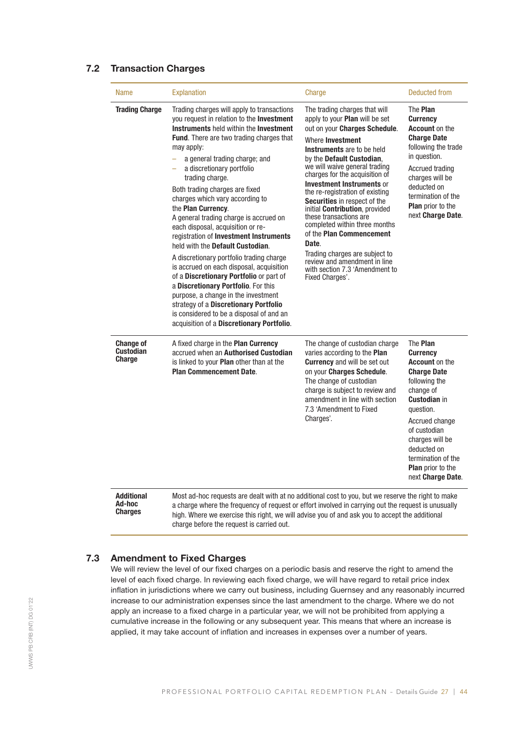## 7.2 Transaction Charges

| Name                                                  | <b>Explanation</b>                                                                                                                                                                                                                                                                                                                                                                                                                                                                                                                                                                                                                                                                                                                                                                                                                                                                                                | Charge                                                                                                                                                                                                                                                                                                                                                                                                                                                                                                                                                                                                                                   | <b>Deducted from</b>                                                                                                                                                                                                                                                                           |
|-------------------------------------------------------|-------------------------------------------------------------------------------------------------------------------------------------------------------------------------------------------------------------------------------------------------------------------------------------------------------------------------------------------------------------------------------------------------------------------------------------------------------------------------------------------------------------------------------------------------------------------------------------------------------------------------------------------------------------------------------------------------------------------------------------------------------------------------------------------------------------------------------------------------------------------------------------------------------------------|------------------------------------------------------------------------------------------------------------------------------------------------------------------------------------------------------------------------------------------------------------------------------------------------------------------------------------------------------------------------------------------------------------------------------------------------------------------------------------------------------------------------------------------------------------------------------------------------------------------------------------------|------------------------------------------------------------------------------------------------------------------------------------------------------------------------------------------------------------------------------------------------------------------------------------------------|
| <b>Trading Charge</b>                                 | Trading charges will apply to transactions<br>you request in relation to the <b>Investment</b><br>Instruments held within the Investment<br><b>Fund.</b> There are two trading charges that<br>may apply:<br>a general trading charge; and<br>a discretionary portfolio<br>$\equiv$<br>trading charge.<br>Both trading charges are fixed<br>charges which vary according to<br>the Plan Currency.<br>A general trading charge is accrued on<br>each disposal, acquisition or re-<br>registration of Investment Instruments<br>held with the Default Custodian.<br>A discretionary portfolio trading charge<br>is accrued on each disposal, acquisition<br>of a Discretionary Portfolio or part of<br>a Discretionary Portfolio. For this<br>purpose, a change in the investment<br>strategy of a Discretionary Portfolio<br>is considered to be a disposal of and an<br>acquisition of a Discretionary Portfolio. | The trading charges that will<br>apply to your <b>Plan</b> will be set<br>out on your Charges Schedule.<br>Where Investment<br><b>Instruments</b> are to be held<br>by the Default Custodian.<br>we will waive general trading<br>charges for the acquisition of<br><b>Investment Instruments or</b><br>the re-registration of existing<br>Securities in respect of the<br>initial <b>Contribution</b> , provided<br>these transactions are<br>completed within three months<br>of the Plan Commencement<br>Date.<br>Trading charges are subject to<br>review and amendment in line<br>with section 7.3 'Amendment to<br>Fixed Charges'. | The <b>Plan</b><br><b>Currency</b><br><b>Account</b> on the<br><b>Charge Date</b><br>following the trade<br>in question.<br><b>Accrued trading</b><br>charges will be<br>deducted on<br>termination of the<br><b>Plan</b> prior to the<br>next Charge Date.                                    |
| <b>Change of</b><br><b>Custodian</b><br><b>Charge</b> | A fixed charge in the <b>Plan Currency</b><br>accrued when an Authorised Custodian<br>is linked to your Plan other than at the<br><b>Plan Commencement Date.</b>                                                                                                                                                                                                                                                                                                                                                                                                                                                                                                                                                                                                                                                                                                                                                  | The change of custodian charge<br>varies according to the Plan<br><b>Currency</b> and will be set out<br>on your Charges Schedule.<br>The change of custodian<br>charge is subject to review and<br>amendment in line with section<br>7.3 'Amendment to Fixed<br>Charges'.                                                                                                                                                                                                                                                                                                                                                               | The <b>Plan</b><br><b>Currency</b><br><b>Account</b> on the<br><b>Charge Date</b><br>following the<br>change of<br><b>Custodian in</b><br>question.<br>Accrued change<br>of custodian<br>charges will be<br>deducted on<br>termination of the<br><b>Plan</b> prior to the<br>next Charge Date. |
| <b>Additional</b><br>Ad-hoc<br>Charges                | Most ad-hoc requests are dealt with at no additional cost to you, but we reserve the right to make<br>a charge where the frequency of request or effort involved in carrying out the request is unusually<br>high. Where we exercise this right, we will advise you of and ask you to accept the additional                                                                                                                                                                                                                                                                                                                                                                                                                                                                                                                                                                                                       |                                                                                                                                                                                                                                                                                                                                                                                                                                                                                                                                                                                                                                          |                                                                                                                                                                                                                                                                                                |

## 7.3 Amendment to Fixed Charges

charge before the request is carried out.

We will review the level of our fixed charges on a periodic basis and reserve the right to amend the level of each fixed charge. In reviewing each fixed charge, we will have regard to retail price index inflation in jurisdictions where we carry out business, including Guernsey and any reasonably incurred increase to our administration expenses since the last amendment to the charge. Where we do not apply an increase to a fixed charge in a particular year, we will not be prohibited from applying a cumulative increase in the following or any subsequent year. This means that where an increase is applied, it may take account of inflation and increases in expenses over a number of years.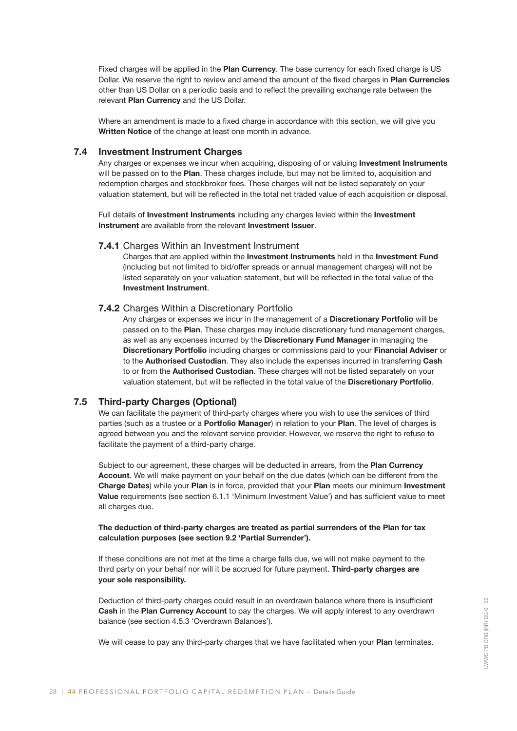Fixed charges will be applied in the Plan Currency. The base currency for each fixed charge is US Dollar. We reserve the right to review and amend the amount of the fixed charges in Plan Currencies other than US Dollar on a periodic basis and to reflect the prevailing exchange rate between the relevant Plan Currency and the US Dollar.

Where an amendment is made to a fixed charge in accordance with this section, we will give you Written Notice of the change at least one month in advance.

## 7.4 Investment Instrument Charges

Any charges or expenses we incur when acquiring, disposing of or valuing **Investment Instruments** will be passed on to the Plan. These charges include, but may not be limited to, acquisition and redemption charges and stockbroker fees. These charges will not be listed separately on your valuation statement, but will be reflected in the total net traded value of each acquisition or disposal.

Full details of Investment Instruments including any charges levied within the Investment Instrument are available from the relevant Investment Issuer.

## **7.4.1** Charges Within an Investment Instrument

Charges that are applied within the Investment Instruments held in the Investment Fund (including but not limited to bid/offer spreads or annual management charges) will not be listed separately on your valuation statement, but will be reflected in the total value of the Investment Instrument.

## 7.4.2 Charges Within a Discretionary Portfolio

Any charges or expenses we incur in the management of a Discretionary Portfolio will be passed on to the Plan. These charges may include discretionary fund management charges, as well as any expenses incurred by the Discretionary Fund Manager in managing the Discretionary Portfolio including charges or commissions paid to your Financial Adviser or to the Authorised Custodian. They also include the expenses incurred in transferring Cash to or from the Authorised Custodian. These charges will not be listed separately on your valuation statement, but will be reflected in the total value of the Discretionary Portfolio.

## 7.5 Third-party Charges (Optional)

We can facilitate the payment of third-party charges where you wish to use the services of third parties (such as a trustee or a **Portfolio Manager**) in relation to your **Plan**. The level of charges is agreed between you and the relevant service provider. However, we reserve the right to refuse to facilitate the payment of a third-party charge.

Subject to our agreement, these charges will be deducted in arrears, from the Plan Currency Account. We will make payment on your behalf on the due dates (which can be different from the Charge Dates) while your Plan is in force, provided that your Plan meets our minimum Investment Value requirements (see section 6.1.1 'Minimum Investment Value') and has sufficient value to meet all charges due.

## The deduction of third-party charges are treated as partial surrenders of the Plan for tax calculation purposes (see section 9.2 'Partial Surrender').

If these conditions are not met at the time a charge falls due, we will not make payment to the third party on your behalf nor will it be accrued for future payment. Third-party charges are your sole responsibility.

Deduction of third-party charges could result in an overdrawn balance where there is insufficient Cash in the Plan Currency Account to pay the charges. We will apply interest to any overdrawn balance (see section 4.5.3 'Overdrawn Balances').

We will cease to pay any third-party charges that we have facilitated when your **Plan** terminates.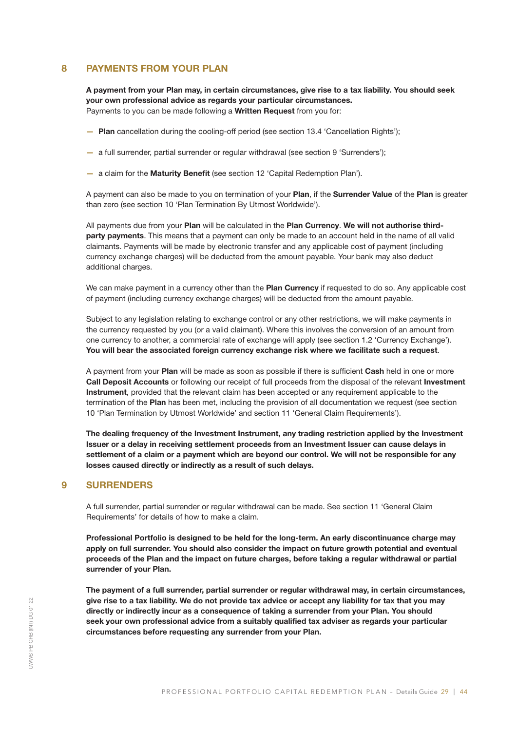## 8 PAYMENTS FROM YOUR PLAN

A payment from your Plan may, in certain circumstances, give rise to a tax liability. You should seek your own professional advice as regards your particular circumstances. Payments to you can be made following a Written Request from you for:

- Plan cancellation during the cooling-off period (see section 13.4 'Cancellation Rights');
- a full surrender, partial surrender or regular withdrawal (see section 9 'Surrenders');
- a claim for the Maturity Benefit (see section 12 'Capital Redemption Plan').

A payment can also be made to you on termination of your Plan, if the Surrender Value of the Plan is greater than zero (see section 10 'Plan Termination By Utmost Worldwide').

All payments due from your Plan will be calculated in the Plan Currency. We will not authorise thirdparty payments. This means that a payment can only be made to an account held in the name of all valid claimants. Payments will be made by electronic transfer and any applicable cost of payment (including currency exchange charges) will be deducted from the amount payable. Your bank may also deduct additional charges.

We can make payment in a currency other than the Plan Currency if requested to do so. Any applicable cost of payment (including currency exchange charges) will be deducted from the amount payable.

Subject to any legislation relating to exchange control or any other restrictions, we will make payments in the currency requested by you (or a valid claimant). Where this involves the conversion of an amount from one currency to another, a commercial rate of exchange will apply (see section 1.2 'Currency Exchange'). You will bear the associated foreign currency exchange risk where we facilitate such a request.

A payment from your Plan will be made as soon as possible if there is sufficient Cash held in one or more Call Deposit Accounts or following our receipt of full proceeds from the disposal of the relevant Investment Instrument, provided that the relevant claim has been accepted or any requirement applicable to the termination of the Plan has been met, including the provision of all documentation we request (see section 10 'Plan Termination by Utmost Worldwide' and section 11 'General Claim Requirements').

The dealing frequency of the Investment Instrument, any trading restriction applied by the Investment Issuer or a delay in receiving settlement proceeds from an Investment Issuer can cause delays in settlement of a claim or a payment which are beyond our control. We will not be responsible for any losses caused directly or indirectly as a result of such delays.

## 9 SURRENDERS

A full surrender, partial surrender or regular withdrawal can be made. See section 11 'General Claim Requirements' for details of how to make a claim.

Professional Portfolio is designed to be held for the long-term. An early discontinuance charge may apply on full surrender. You should also consider the impact on future growth potential and eventual proceeds of the Plan and the impact on future charges, before taking a regular withdrawal or partial surrender of your Plan.

The payment of a full surrender, partial surrender or regular withdrawal may, in certain circumstances, give rise to a tax liability. We do not provide tax advice or accept any liability for tax that you may directly or indirectly incur as a consequence of taking a surrender from your Plan. You should seek your own professional advice from a suitably qualified tax adviser as regards your particular circumstances before requesting any surrender from your Plan.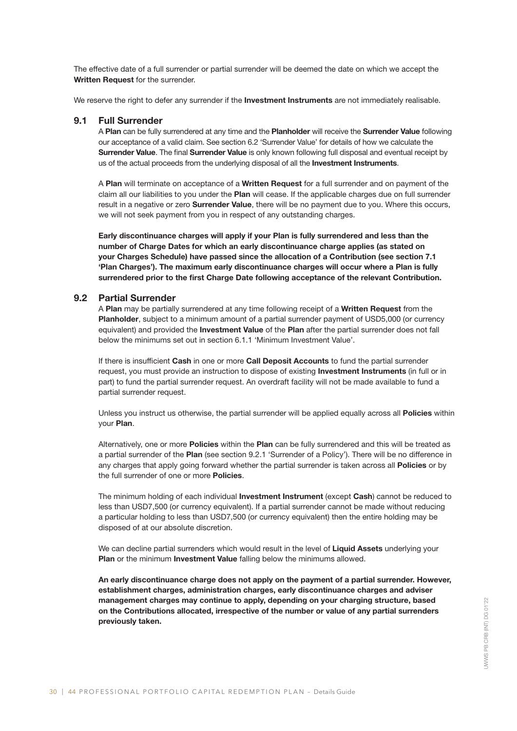The effective date of a full surrender or partial surrender will be deemed the date on which we accept the Written Request for the surrender.

We reserve the right to defer any surrender if the Investment Instruments are not immediately realisable.

## 9.1 Full Surrender

A Plan can be fully surrendered at any time and the Planholder will receive the Surrender Value following our acceptance of a valid claim. See section 6.2 'Surrender Value' for details of how we calculate the Surrender Value. The final Surrender Value is only known following full disposal and eventual receipt by us of the actual proceeds from the underlying disposal of all the Investment Instruments.

A Plan will terminate on acceptance of a Written Request for a full surrender and on payment of the claim all our liabilities to you under the Plan will cease. If the applicable charges due on full surrender result in a negative or zero **Surrender Value**, there will be no payment due to you. Where this occurs, we will not seek payment from you in respect of any outstanding charges.

Early discontinuance charges will apply if your Plan is fully surrendered and less than the number of Charge Dates for which an early discontinuance charge applies (as stated on your Charges Schedule) have passed since the allocation of a Contribution (see section 7.1 'Plan Charges'). The maximum early discontinuance charges will occur where a Plan is fully surrendered prior to the first Charge Date following acceptance of the relevant Contribution.

#### 9.2 Partial Surrender

A Plan may be partially surrendered at any time following receipt of a Written Request from the Planholder, subject to a minimum amount of a partial surrender payment of USD5,000 (or currency equivalent) and provided the Investment Value of the Plan after the partial surrender does not fall below the minimums set out in section 6.1.1 'Minimum Investment Value'.

If there is insufficient Cash in one or more Call Deposit Accounts to fund the partial surrender request, you must provide an instruction to dispose of existing Investment Instruments (in full or in part) to fund the partial surrender request. An overdraft facility will not be made available to fund a partial surrender request.

Unless you instruct us otherwise, the partial surrender will be applied equally across all Policies within your Plan.

Alternatively, one or more Policies within the Plan can be fully surrendered and this will be treated as a partial surrender of the Plan (see section 9.2.1 'Surrender of a Policy'). There will be no difference in any charges that apply going forward whether the partial surrender is taken across all **Policies** or by the full surrender of one or more **Policies**.

The minimum holding of each individual Investment Instrument (except Cash) cannot be reduced to less than USD7,500 (or currency equivalent). If a partial surrender cannot be made without reducing a particular holding to less than USD7,500 (or currency equivalent) then the entire holding may be disposed of at our absolute discretion.

We can decline partial surrenders which would result in the level of Liquid Assets underlying your Plan or the minimum Investment Value falling below the minimums allowed.

An early discontinuance charge does not apply on the payment of a partial surrender. However, establishment charges, administration charges, early discontinuance charges and adviser management charges may continue to apply, depending on your charging structure, based on the Contributions allocated, irrespective of the number or value of any partial surrenders previously taken.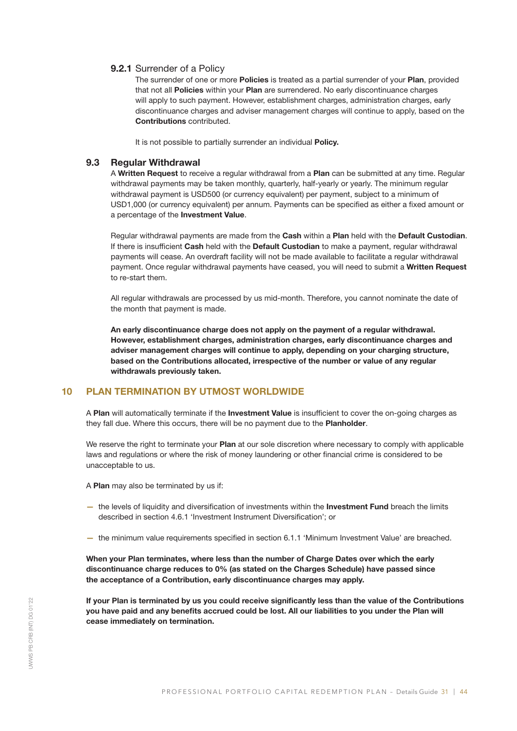## 9.2.1 Surrender of a Policy

The surrender of one or more **Policies** is treated as a partial surrender of your **Plan**, provided that not all Policies within your Plan are surrendered. No early discontinuance charges will apply to such payment. However, establishment charges, administration charges, early discontinuance charges and adviser management charges will continue to apply, based on the Contributions contributed.

It is not possible to partially surrender an individual Policy.

#### 9.3 Regular Withdrawal

A Written Request to receive a regular withdrawal from a Plan can be submitted at any time. Regular withdrawal payments may be taken monthly, quarterly, half-yearly or yearly. The minimum regular withdrawal payment is USD500 (or currency equivalent) per payment, subject to a minimum of USD1,000 (or currency equivalent) per annum. Payments can be specified as either a fixed amount or a percentage of the Investment Value.

Regular withdrawal payments are made from the Cash within a Plan held with the Default Custodian. If there is insufficient Cash held with the Default Custodian to make a payment, regular withdrawal payments will cease. An overdraft facility will not be made available to facilitate a regular withdrawal payment. Once regular withdrawal payments have ceased, you will need to submit a Written Request to re-start them.

All regular withdrawals are processed by us mid-month. Therefore, you cannot nominate the date of the month that payment is made.

An early discontinuance charge does not apply on the payment of a regular withdrawal. However, establishment charges, administration charges, early discontinuance charges and adviser management charges will continue to apply, depending on your charging structure, based on the Contributions allocated, irrespective of the number or value of any regular withdrawals previously taken.

## 10 PLAN TERMINATION BY UTMOST WORLDWIDE

A Plan will automatically terminate if the Investment Value is insufficient to cover the on-going charges as they fall due. Where this occurs, there will be no payment due to the Planholder.

We reserve the right to terminate your Plan at our sole discretion where necessary to comply with applicable laws and regulations or where the risk of money laundering or other financial crime is considered to be unacceptable to us.

A Plan may also be terminated by us if:

- the levels of liquidity and diversification of investments within the Investment Fund breach the limits described in section 4.6.1 'Investment Instrument Diversification'; or
- the minimum value requirements specified in section 6.1.1 'Minimum Investment Value' are breached.

When your Plan terminates, where less than the number of Charge Dates over which the early discontinuance charge reduces to 0% (as stated on the Charges Schedule) have passed since the acceptance of a Contribution, early discontinuance charges may apply.

If your Plan is terminated by us you could receive significantly less than the value of the Contributions you have paid and any benefits accrued could be lost. All our liabilities to you under the Plan will cease immediately on termination.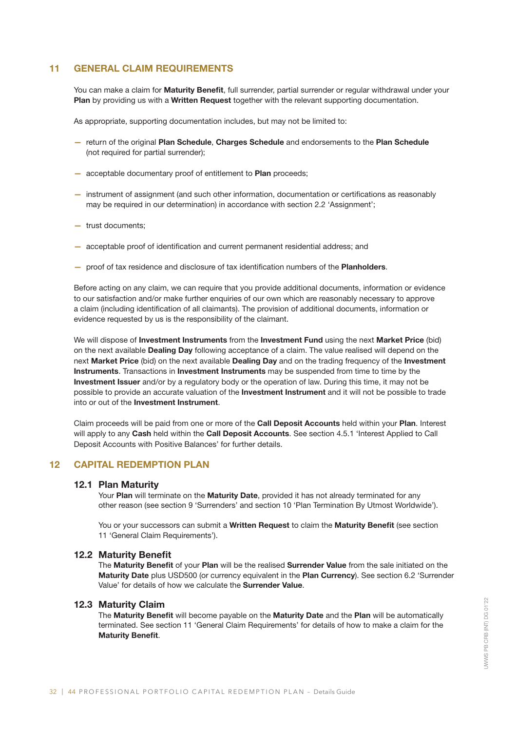## 11 GENERAL CLAIM REQUIREMENTS

You can make a claim for Maturity Benefit, full surrender, partial surrender or regular withdrawal under your Plan by providing us with a Written Request together with the relevant supporting documentation.

As appropriate, supporting documentation includes, but may not be limited to:

- return of the original Plan Schedule, Charges Schedule and endorsements to the Plan Schedule (not required for partial surrender);
- acceptable documentary proof of entitlement to Plan proceeds;
- instrument of assignment (and such other information, documentation or certifications as reasonably may be required in our determination) in accordance with section 2.2 'Assignment';
- trust documents;
- acceptable proof of identification and current permanent residential address; and
- proof of tax residence and disclosure of tax identification numbers of the Planholders.

Before acting on any claim, we can require that you provide additional documents, information or evidence to our satisfaction and/or make further enquiries of our own which are reasonably necessary to approve a claim (including identification of all claimants). The provision of additional documents, information or evidence requested by us is the responsibility of the claimant.

We will dispose of Investment Instruments from the Investment Fund using the next Market Price (bid) on the next available **Dealing Day** following acceptance of a claim. The value realised will depend on the next Market Price (bid) on the next available Dealing Day and on the trading frequency of the Investment Instruments. Transactions in Investment Instruments may be suspended from time to time by the Investment Issuer and/or by a regulatory body or the operation of law. During this time, it may not be possible to provide an accurate valuation of the Investment Instrument and it will not be possible to trade into or out of the **Investment Instrument**.

Claim proceeds will be paid from one or more of the Call Deposit Accounts held within your Plan. Interest will apply to any Cash held within the Call Deposit Accounts. See section 4.5.1 'Interest Applied to Call Deposit Accounts with Positive Balances' for further details.

## 12 CAPITAL REDEMPTION PLAN

#### 12.1 Plan Maturity

Your Plan will terminate on the Maturity Date, provided it has not already terminated for any other reason (see section 9 'Surrenders' and section 10 'Plan Termination By Utmost Worldwide').

You or your successors can submit a Written Request to claim the Maturity Benefit (see section 11 'General Claim Requirements').

#### 12.2 Maturity Benefit

The Maturity Benefit of your Plan will be the realised Surrender Value from the sale initiated on the Maturity Date plus USD500 (or currency equivalent in the Plan Currency). See section 6.2 'Surrender Value' for details of how we calculate the Surrender Value.

#### 12.3 Maturity Claim

The Maturity Benefit will become payable on the Maturity Date and the Plan will be automatically terminated. See section 11 'General Claim Requirements' for details of how to make a claim for the Maturity Benefit.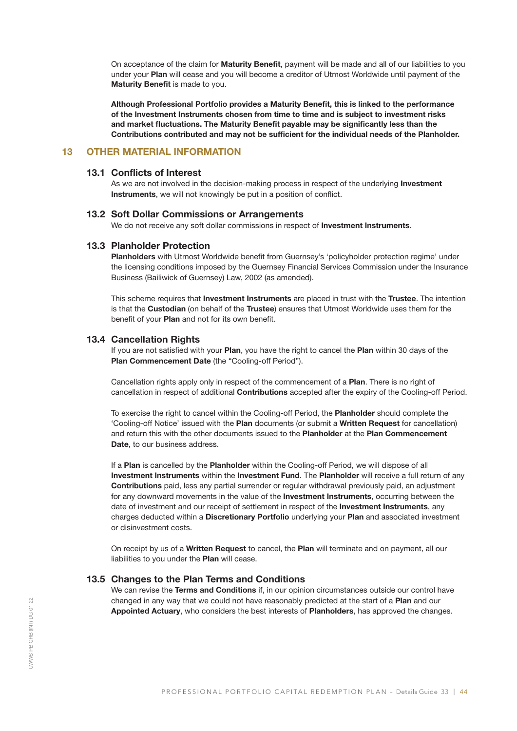On acceptance of the claim for Maturity Benefit, payment will be made and all of our liabilities to you under your Plan will cease and you will become a creditor of Utmost Worldwide until payment of the Maturity Benefit is made to you.

Although Professional Portfolio provides a Maturity Benefit, this is linked to the performance of the Investment Instruments chosen from time to time and is subject to investment risks and market fluctuations. The Maturity Benefit payable may be significantly less than the Contributions contributed and may not be sufficient for the individual needs of the Planholder.

## 13 OTHER MATERIAL INFORMATION

#### 13.1 Conflicts of Interest

As we are not involved in the decision-making process in respect of the underlying Investment Instruments, we will not knowingly be put in a position of conflict.

#### 13.2 Soft Dollar Commissions or Arrangements

We do not receive any soft dollar commissions in respect of **Investment Instruments**.

#### 13.3 Planholder Protection

Planholders with Utmost Worldwide benefit from Guernsey's 'policyholder protection regime' under the licensing conditions imposed by the Guernsey Financial Services Commission under the Insurance Business (Bailiwick of Guernsey) Law, 2002 (as amended).

This scheme requires that Investment Instruments are placed in trust with the Trustee. The intention is that the Custodian (on behalf of the Trustee) ensures that Utmost Worldwide uses them for the benefit of your Plan and not for its own benefit.

#### 13.4 Cancellation Rights

If you are not satisfied with your **Plan**, you have the right to cancel the **Plan** within 30 days of the Plan Commencement Date (the "Cooling-off Period").

Cancellation rights apply only in respect of the commencement of a Plan. There is no right of cancellation in respect of additional Contributions accepted after the expiry of the Cooling-off Period.

To exercise the right to cancel within the Cooling-off Period, the Planholder should complete the 'Cooling-off Notice' issued with the Plan documents (or submit a Written Request for cancellation) and return this with the other documents issued to the **Planholder** at the **Plan Commencement** Date, to our business address.

If a Plan is cancelled by the Planholder within the Cooling-off Period, we will dispose of all Investment Instruments within the Investment Fund. The Planholder will receive a full return of any Contributions paid, less any partial surrender or regular withdrawal previously paid, an adjustment for any downward movements in the value of the **Investment Instruments**, occurring between the date of investment and our receipt of settlement in respect of the Investment Instruments, any charges deducted within a Discretionary Portfolio underlying your Plan and associated investment or disinvestment costs.

On receipt by us of a Written Request to cancel, the Plan will terminate and on payment, all our liabilities to you under the Plan will cease.

## 13.5 Changes to the Plan Terms and Conditions

We can revise the Terms and Conditions if, in our opinion circumstances outside our control have changed in any way that we could not have reasonably predicted at the start of a Plan and our Appointed Actuary, who considers the best interests of Planholders, has approved the changes.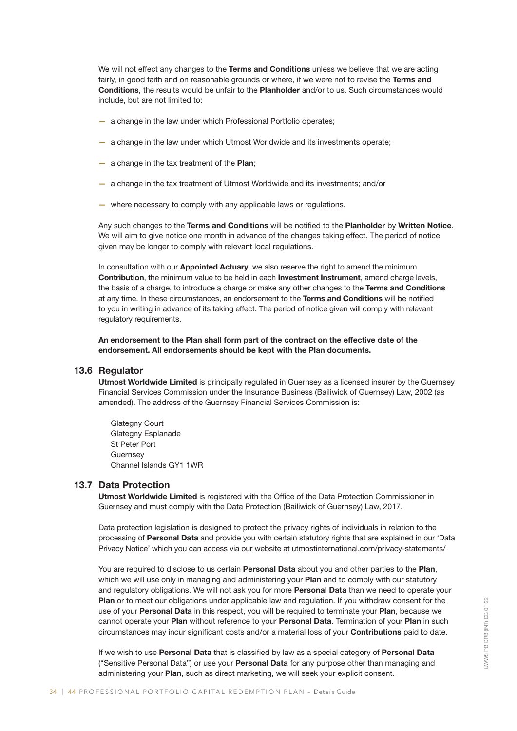We will not effect any changes to the Terms and Conditions unless we believe that we are acting fairly, in good faith and on reasonable grounds or where, if we were not to revise the Terms and Conditions, the results would be unfair to the Planholder and/or to us. Such circumstances would include, but are not limited to:

- a change in the law under which Professional Portfolio operates;
- a change in the law under which Utmost Worldwide and its investments operate;
- a change in the tax treatment of the Plan;
- a change in the tax treatment of Utmost Worldwide and its investments; and/or
- where necessary to comply with any applicable laws or regulations.

Any such changes to the Terms and Conditions will be notified to the Planholder by Written Notice. We will aim to give notice one month in advance of the changes taking effect. The period of notice given may be longer to comply with relevant local regulations.

In consultation with our Appointed Actuary, we also reserve the right to amend the minimum Contribution, the minimum value to be held in each Investment Instrument, amend charge levels, the basis of a charge, to introduce a charge or make any other changes to the Terms and Conditions at any time. In these circumstances, an endorsement to the Terms and Conditions will be notified to you in writing in advance of its taking effect. The period of notice given will comply with relevant regulatory requirements.

An endorsement to the Plan shall form part of the contract on the effective date of the endorsement. All endorsements should be kept with the Plan documents.

#### 13.6 Regulator

Utmost Worldwide Limited is principally regulated in Guernsey as a licensed insurer by the Guernsey Financial Services Commission under the Insurance Business (Bailiwick of Guernsey) Law, 2002 (as amended). The address of the Guernsey Financial Services Commission is:

Glategny Court Glategny Esplanade St Peter Port **Guernsey** Channel Islands GY1 1WR

## 13.7 Data Protection

Utmost Worldwide Limited is registered with the Office of the Data Protection Commissioner in Guernsey and must comply with the Data Protection (Bailiwick of Guernsey) Law, 2017.

Data protection legislation is designed to protect the privacy rights of individuals in relation to the processing of Personal Data and provide you with certain statutory rights that are explained in our 'Data Privacy Notice' which you can access via our website at utmostinternational.com/privacy-statements/

You are required to disclose to us certain Personal Data about you and other parties to the Plan, which we will use only in managing and administering your **Plan** and to comply with our statutory and regulatory obligations. We will not ask you for more Personal Data than we need to operate your Plan or to meet our obligations under applicable law and regulation. If you withdraw consent for the use of your Personal Data in this respect, you will be required to terminate your Plan, because we cannot operate your Plan without reference to your Personal Data. Termination of your Plan in such circumstances may incur significant costs and/or a material loss of your Contributions paid to date.

If we wish to use Personal Data that is classified by law as a special category of Personal Data ("Sensitive Personal Data") or use your **Personal Data** for any purpose other than managing and administering your Plan, such as direct marketing, we will seek your explicit consent.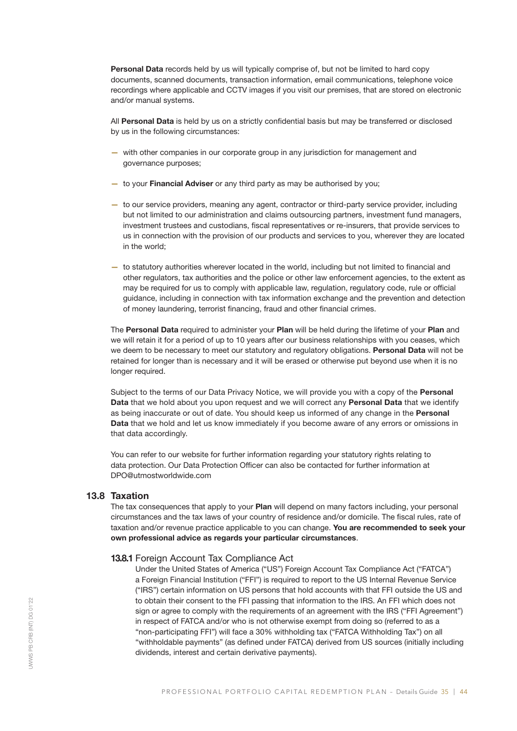Personal Data records held by us will typically comprise of, but not be limited to hard copy documents, scanned documents, transaction information, email communications, telephone voice recordings where applicable and CCTV images if you visit our premises, that are stored on electronic and/or manual systems.

All Personal Data is held by us on a strictly confidential basis but may be transferred or disclosed by us in the following circumstances:

- with other companies in our corporate group in any jurisdiction for management and governance purposes;
- to your Financial Adviser or any third party as may be authorised by you;
- to our service providers, meaning any agent, contractor or third-party service provider, including but not limited to our administration and claims outsourcing partners, investment fund managers, investment trustees and custodians, fiscal representatives or re-insurers, that provide services to us in connection with the provision of our products and services to you, wherever they are located in the world;
- to statutory authorities wherever located in the world, including but not limited to financial and other regulators, tax authorities and the police or other law enforcement agencies, to the extent as may be required for us to comply with applicable law, regulation, regulatory code, rule or official guidance, including in connection with tax information exchange and the prevention and detection of money laundering, terrorist financing, fraud and other financial crimes.

The Personal Data required to administer your Plan will be held during the lifetime of your Plan and we will retain it for a period of up to 10 years after our business relationships with you ceases, which we deem to be necessary to meet our statutory and regulatory obligations. Personal Data will not be retained for longer than is necessary and it will be erased or otherwise put beyond use when it is no longer required.

Subject to the terms of our Data Privacy Notice, we will provide you with a copy of the Personal Data that we hold about you upon request and we will correct any Personal Data that we identify as being inaccurate or out of date. You should keep us informed of any change in the Personal Data that we hold and let us know immediately if you become aware of any errors or omissions in that data accordingly.

You can refer to our website for further information regarding your statutory rights relating to data protection. Our Data Protection Officer can also be contacted for further information at DPO@utmostworldwide.com

## 13.8 Taxation

The tax consequences that apply to your Plan will depend on many factors including, your personal circumstances and the tax laws of your country of residence and/or domicile. The fiscal rules, rate of taxation and/or revenue practice applicable to you can change. You are recommended to seek your own professional advice as regards your particular circumstances.

#### 13.8.1 Foreign Account Tax Compliance Act

Under the United States of America ("US") Foreign Account Tax Compliance Act ("FATCA") a Foreign Financial Institution ("FFI") is required to report to the US Internal Revenue Service ("IRS") certain information on US persons that hold accounts with that FFI outside the US and to obtain their consent to the FFI passing that information to the IRS. An FFI which does not sign or agree to comply with the requirements of an agreement with the IRS ("FFI Agreement") in respect of FATCA and/or who is not otherwise exempt from doing so (referred to as a "non-participating FFI") will face a 30% withholding tax ("FATCA Withholding Tax") on all "withholdable payments" (as defined under FATCA) derived from US sources (initially including dividends, interest and certain derivative payments).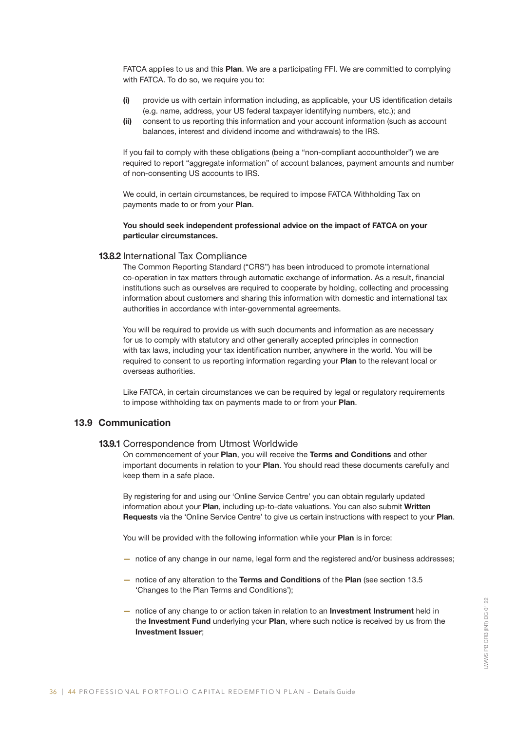FATCA applies to us and this Plan. We are a participating FFI. We are committed to complying with FATCA. To do so, we require you to:

- (i) provide us with certain information including, as applicable, your US identification details (e.g. name, address, your US federal taxpayer identifying numbers, etc.); and
- (ii) consent to us reporting this information and your account information (such as account balances, interest and dividend income and withdrawals) to the IRS.

If you fail to comply with these obligations (being a "non-compliant accountholder") we are required to report "aggregate information" of account balances, payment amounts and number of non-consenting US accounts to IRS.

We could, in certain circumstances, be required to impose FATCA Withholding Tax on payments made to or from your Plan.

#### You should seek independent professional advice on the impact of FATCA on your particular circumstances.

#### 13.8.2 International Tax Compliance

The Common Reporting Standard ("CRS") has been introduced to promote international co-operation in tax matters through automatic exchange of information. As a result, financial institutions such as ourselves are required to cooperate by holding, collecting and processing information about customers and sharing this information with domestic and international tax authorities in accordance with inter-governmental agreements.

You will be required to provide us with such documents and information as are necessary for us to comply with statutory and other generally accepted principles in connection with tax laws, including your tax identification number, anywhere in the world. You will be required to consent to us reporting information regarding your **Plan** to the relevant local or overseas authorities.

Like FATCA, in certain circumstances we can be required by legal or regulatory requirements to impose withholding tax on payments made to or from your Plan.

## 13.9 Communication

## 13.9.1 Correspondence from Utmost Worldwide

On commencement of your Plan, you will receive the Terms and Conditions and other important documents in relation to your Plan. You should read these documents carefully and keep them in a safe place.

By registering for and using our 'Online Service Centre' you can obtain regularly updated information about your Plan, including up-to-date valuations. You can also submit Written Requests via the 'Online Service Centre' to give us certain instructions with respect to your Plan.

You will be provided with the following information while your **Plan** is in force:

- notice of any change in our name, legal form and the registered and/or business addresses;
- notice of any alteration to the Terms and Conditions of the Plan (see section 13.5) 'Changes to the Plan Terms and Conditions');
- notice of any change to or action taken in relation to an **Investment Instrument** held in the Investment Fund underlying your Plan, where such notice is received by us from the Investment Issuer;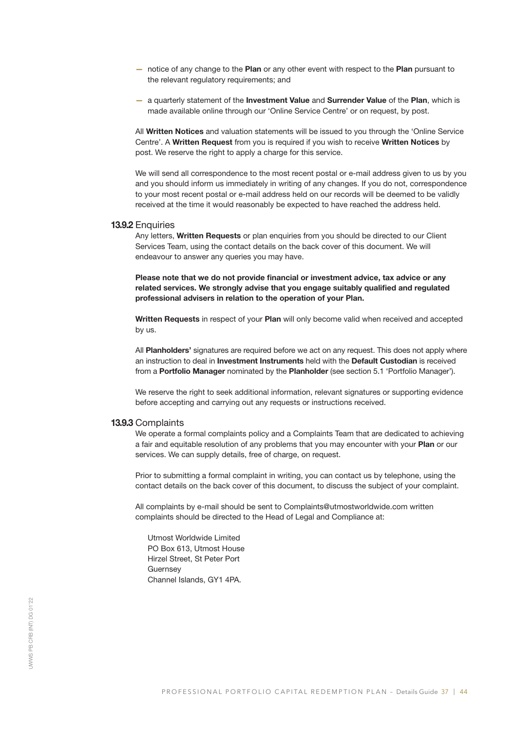- notice of any change to the Plan or any other event with respect to the Plan pursuant to the relevant regulatory requirements; and
- a quarterly statement of the Investment Value and Surrender Value of the Plan, which is made available online through our 'Online Service Centre' or on request, by post.

All Written Notices and valuation statements will be issued to you through the 'Online Service Centre'. A Written Request from you is required if you wish to receive Written Notices by post. We reserve the right to apply a charge for this service.

We will send all correspondence to the most recent postal or e-mail address given to us by you and you should inform us immediately in writing of any changes. If you do not, correspondence to your most recent postal or e-mail address held on our records will be deemed to be validly received at the time it would reasonably be expected to have reached the address held.

## 13.9.2 Enquiries

Any letters, Written Requests or plan enquiries from you should be directed to our Client Services Team, using the contact details on the back cover of this document. We will endeavour to answer any queries you may have.

Please note that we do not provide financial or investment advice, tax advice or any related services. We strongly advise that you engage suitably qualified and regulated professional advisers in relation to the operation of your Plan.

Written Requests in respect of your Plan will only become valid when received and accepted by us.

All Planholders' signatures are required before we act on any request. This does not apply where an instruction to deal in Investment Instruments held with the Default Custodian is received from a Portfolio Manager nominated by the Planholder (see section 5.1 'Portfolio Manager').

We reserve the right to seek additional information, relevant signatures or supporting evidence before accepting and carrying out any requests or instructions received.

#### 13.9.3 Complaints

We operate a formal complaints policy and a Complaints Team that are dedicated to achieving a fair and equitable resolution of any problems that you may encounter with your Plan or our services. We can supply details, free of charge, on request.

Prior to submitting a formal complaint in writing, you can contact us by telephone, using the contact details on the back cover of this document, to discuss the subject of your complaint.

All complaints by e-mail should be sent to Complaints@utmostworldwide.com written complaints should be directed to the Head of Legal and Compliance at:

Utmost Worldwide Limited PO Box 613, Utmost House Hirzel Street, St Peter Port **Guernsey** Channel Islands, GY1 4PA.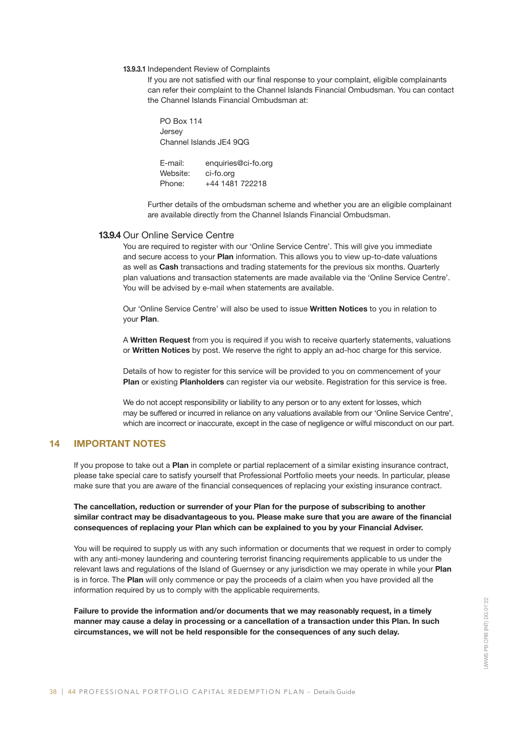#### 13.9.3.1 Independent Review of Complaints

If you are not satisfied with our final response to your complaint, eligible complainants can refer their complaint to the Channel Islands Financial Ombudsman. You can contact the Channel Islands Financial Ombudsman at:

PO Box 114 **Jersev** Channel Islands JE4 9QG

E-mail: enquiries@ci-fo.org Website: ci-fo.org Phone: +44 1481 722218

Further details of the ombudsman scheme and whether you are an eligible complainant are available directly from the Channel Islands Financial Ombudsman.

#### 13.9.4 Our Online Service Centre

You are required to register with our 'Online Service Centre'. This will give you immediate and secure access to your Plan information. This allows you to view up-to-date valuations as well as Cash transactions and trading statements for the previous six months. Quarterly plan valuations and transaction statements are made available via the 'Online Service Centre'. You will be advised by e-mail when statements are available.

Our 'Online Service Centre' will also be used to issue Written Notices to you in relation to your Plan.

A Written Request from you is required if you wish to receive quarterly statements, valuations or Written Notices by post. We reserve the right to apply an ad-hoc charge for this service.

Details of how to register for this service will be provided to you on commencement of your Plan or existing Planholders can register via our website. Registration for this service is free.

We do not accept responsibility or liability to any person or to any extent for losses, which may be suffered or incurred in reliance on any valuations available from our 'Online Service Centre', which are incorrect or inaccurate, except in the case of negligence or wilful misconduct on our part.

## 14 IMPORTANT NOTES

If you propose to take out a Plan in complete or partial replacement of a similar existing insurance contract, please take special care to satisfy yourself that Professional Portfolio meets your needs. In particular, please make sure that you are aware of the financial consequences of replacing your existing insurance contract.

The cancellation, reduction or surrender of your Plan for the purpose of subscribing to another similar contract may be disadvantageous to you. Please make sure that you are aware of the financial consequences of replacing your Plan which can be explained to you by your Financial Adviser.

You will be required to supply us with any such information or documents that we request in order to comply with any anti-money laundering and countering terrorist financing requirements applicable to us under the relevant laws and regulations of the Island of Guernsey or any jurisdiction we may operate in while your Plan is in force. The Plan will only commence or pay the proceeds of a claim when you have provided all the information required by us to comply with the applicable requirements.

Failure to provide the information and/or documents that we may reasonably request, in a timely manner may cause a delay in processing or a cancellation of a transaction under this Plan. In such circumstances, we will not be held responsible for the consequences of any such delay.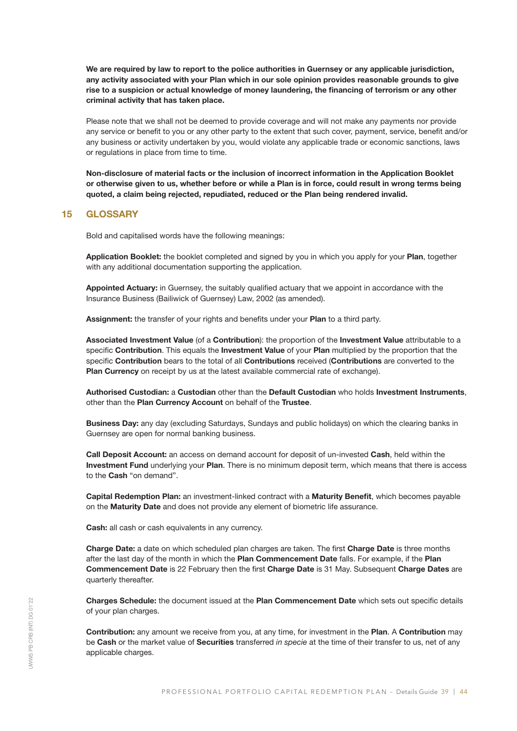We are required by law to report to the police authorities in Guernsey or any applicable jurisdiction, any activity associated with your Plan which in our sole opinion provides reasonable grounds to give rise to a suspicion or actual knowledge of money laundering, the financing of terrorism or any other criminal activity that has taken place.

Please note that we shall not be deemed to provide coverage and will not make any payments nor provide any service or benefit to you or any other party to the extent that such cover, payment, service, benefit and/or any business or activity undertaken by you, would violate any applicable trade or economic sanctions, laws or regulations in place from time to time.

Non-disclosure of material facts or the inclusion of incorrect information in the Application Booklet or otherwise given to us, whether before or while a Plan is in force, could result in wrong terms being quoted, a claim being rejected, repudiated, reduced or the Plan being rendered invalid.

## 15 GLOSSARY

Bold and capitalised words have the following meanings:

Application Booklet: the booklet completed and signed by you in which you apply for your Plan, together with any additional documentation supporting the application.

Appointed Actuary: in Guernsey, the suitably qualified actuary that we appoint in accordance with the Insurance Business (Bailiwick of Guernsey) Law, 2002 (as amended).

Assignment: the transfer of your rights and benefits under your Plan to a third party.

Associated Investment Value (of a Contribution): the proportion of the Investment Value attributable to a specific Contribution. This equals the Investment Value of your Plan multiplied by the proportion that the specific Contribution bears to the total of all Contributions received (Contributions are converted to the Plan Currency on receipt by us at the latest available commercial rate of exchange).

Authorised Custodian: a Custodian other than the Default Custodian who holds Investment Instruments, other than the Plan Currency Account on behalf of the Trustee.

**Business Day:** any day (excluding Saturdays, Sundays and public holidays) on which the clearing banks in Guernsey are open for normal banking business.

Call Deposit Account: an access on demand account for deposit of un-invested Cash, held within the Investment Fund underlying your Plan. There is no minimum deposit term, which means that there is access to the Cash "on demand".

Capital Redemption Plan: an investment-linked contract with a Maturity Benefit, which becomes payable on the Maturity Date and does not provide any element of biometric life assurance.

Cash: all cash or cash equivalents in any currency.

Charge Date: a date on which scheduled plan charges are taken. The first Charge Date is three months after the last day of the month in which the Plan Commencement Date falls. For example, if the Plan Commencement Date is 22 February then the first Charge Date is 31 May. Subsequent Charge Dates are quarterly thereafter.

Charges Schedule: the document issued at the Plan Commencement Date which sets out specific details of your plan charges.

Contribution: any amount we receive from you, at any time, for investment in the Plan. A Contribution may be Cash or the market value of Securities transferred *in specie* at the time of their transfer to us, net of any applicable charges.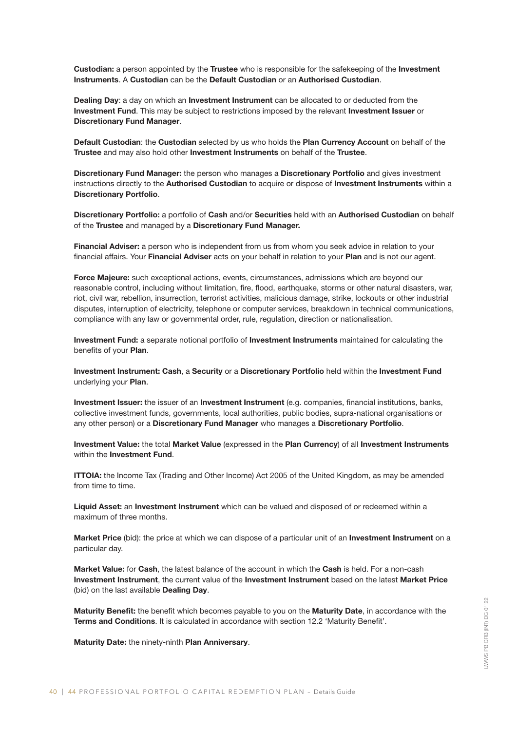**Custodian:** a person appointed by the Trustee who is responsible for the safekeeping of the Investment Instruments. A Custodian can be the Default Custodian or an Authorised Custodian.

Dealing Day: a day on which an Investment Instrument can be allocated to or deducted from the Investment Fund. This may be subject to restrictions imposed by the relevant Investment Issuer or Discretionary Fund Manager.

Default Custodian: the Custodian selected by us who holds the Plan Currency Account on behalf of the Trustee and may also hold other Investment Instruments on behalf of the Trustee.

Discretionary Fund Manager: the person who manages a Discretionary Portfolio and gives investment instructions directly to the Authorised Custodian to acquire or dispose of Investment Instruments within a Discretionary Portfolio.

Discretionary Portfolio: a portfolio of Cash and/or Securities held with an Authorised Custodian on behalf of the Trustee and managed by a Discretionary Fund Manager.

Financial Adviser: a person who is independent from us from whom you seek advice in relation to your financial affairs. Your Financial Adviser acts on your behalf in relation to your Plan and is not our agent.

Force Majeure: such exceptional actions, events, circumstances, admissions which are beyond our reasonable control, including without limitation, fire, flood, earthquake, storms or other natural disasters, war, riot, civil war, rebellion, insurrection, terrorist activities, malicious damage, strike, lockouts or other industrial disputes, interruption of electricity, telephone or computer services, breakdown in technical communications, compliance with any law or governmental order, rule, regulation, direction or nationalisation.

Investment Fund: a separate notional portfolio of Investment Instruments maintained for calculating the benefits of your Plan.

Investment Instrument: Cash, a Security or a Discretionary Portfolio held within the Investment Fund underlying your Plan.

Investment Issuer: the issuer of an Investment Instrument (e.g. companies, financial institutions, banks, collective investment funds, governments, local authorities, public bodies, supra-national organisations or any other person) or a Discretionary Fund Manager who manages a Discretionary Portfolio.

Investment Value: the total Market Value (expressed in the Plan Currency) of all Investment Instruments within the **Investment Fund**.

**ITTOIA:** the Income Tax (Trading and Other Income) Act 2005 of the United Kingdom, as may be amended from time to time.

Liquid Asset: an Investment Instrument which can be valued and disposed of or redeemed within a maximum of three months.

Market Price (bid): the price at which we can dispose of a particular unit of an Investment Instrument on a particular day.

Market Value: for Cash, the latest balance of the account in which the Cash is held. For a non-cash Investment Instrument, the current value of the Investment Instrument based on the latest Market Price (bid) on the last available Dealing Day.

Maturity Benefit: the benefit which becomes payable to you on the Maturity Date, in accordance with the Terms and Conditions. It is calculated in accordance with section 12.2 'Maturity Benefit'.

Maturity Date: the ninety-ninth Plan Anniversary.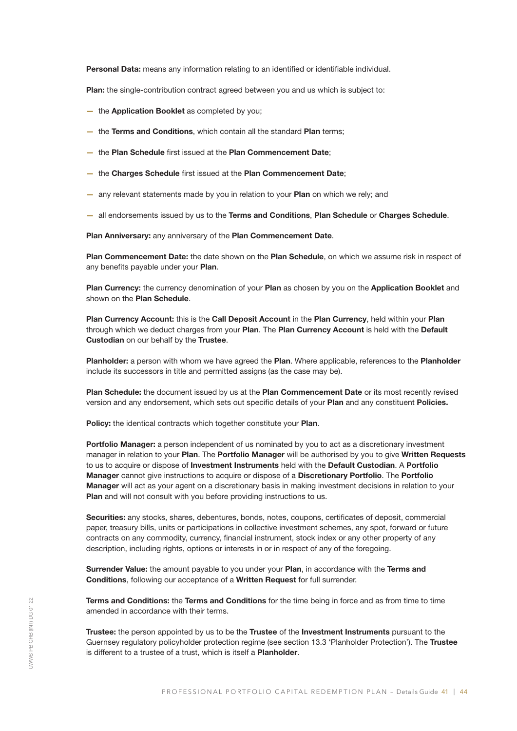Personal Data: means any information relating to an identified or identifiable individual.

Plan: the single-contribution contract agreed between you and us which is subject to:

- the Application Booklet as completed by you;
- the Terms and Conditions, which contain all the standard Plan terms;
- the Plan Schedule first issued at the Plan Commencement Date;
- the Charges Schedule first issued at the Plan Commencement Date;
- any relevant statements made by you in relation to your Plan on which we rely; and
- all endorsements issued by us to the Terms and Conditions, Plan Schedule or Charges Schedule.

Plan Anniversary: any anniversary of the Plan Commencement Date.

Plan Commencement Date: the date shown on the Plan Schedule, on which we assume risk in respect of any benefits payable under your Plan.

Plan Currency: the currency denomination of your Plan as chosen by you on the Application Booklet and shown on the Plan Schedule.

Plan Currency Account: this is the Call Deposit Account in the Plan Currency, held within your Plan through which we deduct charges from your Plan. The Plan Currency Account is held with the Default Custodian on our behalf by the Trustee.

Planholder: a person with whom we have agreed the Plan. Where applicable, references to the Planholder include its successors in title and permitted assigns (as the case may be).

Plan Schedule: the document issued by us at the Plan Commencement Date or its most recently revised version and any endorsement, which sets out specific details of your Plan and any constituent Policies.

Policy: the identical contracts which together constitute your Plan.

Portfolio Manager: a person independent of us nominated by you to act as a discretionary investment manager in relation to your Plan. The Portfolio Manager will be authorised by you to give Written Requests to us to acquire or dispose of Investment Instruments held with the Default Custodian. A Portfolio Manager cannot give instructions to acquire or dispose of a Discretionary Portfolio. The Portfolio Manager will act as your agent on a discretionary basis in making investment decisions in relation to your Plan and will not consult with you before providing instructions to us.

Securities: any stocks, shares, debentures, bonds, notes, coupons, certificates of deposit, commercial paper, treasury bills, units or participations in collective investment schemes, any spot, forward or future contracts on any commodity, currency, financial instrument, stock index or any other property of any description, including rights, options or interests in or in respect of any of the foregoing.

Surrender Value: the amount payable to you under your Plan, in accordance with the Terms and Conditions, following our acceptance of a Written Request for full surrender.

Terms and Conditions: the Terms and Conditions for the time being in force and as from time to time amended in accordance with their terms.

Trustee: the person appointed by us to be the Trustee of the Investment Instruments pursuant to the Guernsey regulatory policyholder protection regime (see section 13.3 'Planholder Protection'). The Trustee is different to a trustee of a trust, which is itself a **Planholder**.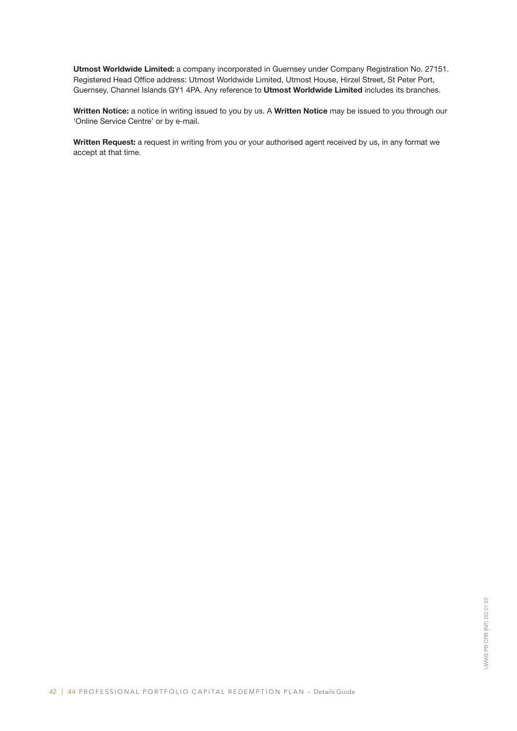Utmost Worldwide Limited: a company incorporated in Guernsey under Company Registration No. 27151. Registered Head Office address: Utmost Worldwide Limited, Utmost House, Hirzel Street, St Peter Port, Guernsey, Channel Islands GY1 4PA. Any reference to Utmost Worldwide Limited includes its branches.

Written Notice: a notice in writing issued to you by us. A Written Notice may be issued to you through our 'Online Service Centre' or by e-mail.

Written Request: a request in writing from you or your authorised agent received by us, in any format we accept at that time.